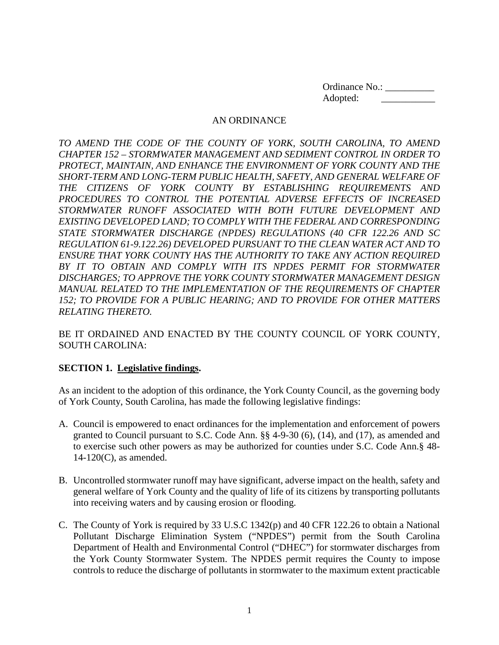Ordinance No.: \_\_\_\_\_\_\_\_\_\_ Adopted: \_\_\_\_\_\_\_\_\_\_\_

#### AN ORDINANCE

*TO AMEND THE CODE OF THE COUNTY OF YORK, SOUTH CAROLINA, TO AMEND CHAPTER 152 – STORMWATER MANAGEMENT AND SEDIMENT CONTROL IN ORDER TO PROTECT, MAINTAIN, AND ENHANCE THE ENVIRONMENT OF YORK COUNTY AND THE SHORT-TERM AND LONG-TERM PUBLIC HEALTH, SAFETY, AND GENERAL WELFARE OF THE CITIZENS OF YORK COUNTY BY ESTABLISHING REQUIREMENTS AND PROCEDURES TO CONTROL THE POTENTIAL ADVERSE EFFECTS OF INCREASED STORMWATER RUNOFF ASSOCIATED WITH BOTH FUTURE DEVELOPMENT AND EXISTING DEVELOPED LAND; TO COMPLY WITH THE FEDERAL AND CORRESPONDING STATE STORMWATER DISCHARGE (NPDES) REGULATIONS (40 CFR 122.26 AND SC REGULATION 61-9.122.26) DEVELOPED PURSUANT TO THE CLEAN WATER ACT AND TO ENSURE THAT YORK COUNTY HAS THE AUTHORITY TO TAKE ANY ACTION REQUIRED BY IT TO OBTAIN AND COMPLY WITH ITS NPDES PERMIT FOR STORMWATER DISCHARGES; TO APPROVE THE YORK COUNTY STORMWATER MANAGEMENT DESIGN MANUAL RELATED TO THE IMPLEMENTATION OF THE REQUIREMENTS OF CHAPTER 152; TO PROVIDE FOR A PUBLIC HEARING; AND TO PROVIDE FOR OTHER MATTERS RELATING THERETO.*

BE IT ORDAINED AND ENACTED BY THE COUNTY COUNCIL OF YORK COUNTY, SOUTH CAROLINA:

# **SECTION 1. Legislative findings.**

As an incident to the adoption of this ordinance, the York County Council, as the governing body of York County, South Carolina, has made the following legislative findings:

- A. Council is empowered to enact ordinances for the implementation and enforcement of powers granted to Council pursuant to S.C. Code Ann. §§ 4-9-30 (6), (14), and (17), as amended and to exercise such other powers as may be authorized for counties under S.C. Code Ann.§ 48- 14-120(C), as amended.
- B. Uncontrolled stormwater runoff may have significant, adverse impact on the health, safety and general welfare of York County and the quality of life of its citizens by transporting pollutants into receiving waters and by causing erosion or flooding.
- C. The County of York is required by 33 U.S.C 1342(p) and 40 CFR 122.26 to obtain a National Pollutant Discharge Elimination System ("NPDES") permit from the South Carolina Department of Health and Environmental Control ("DHEC") for stormwater discharges from the York County Stormwater System. The NPDES permit requires the County to impose controls to reduce the discharge of pollutants in stormwater to the maximum extent practicable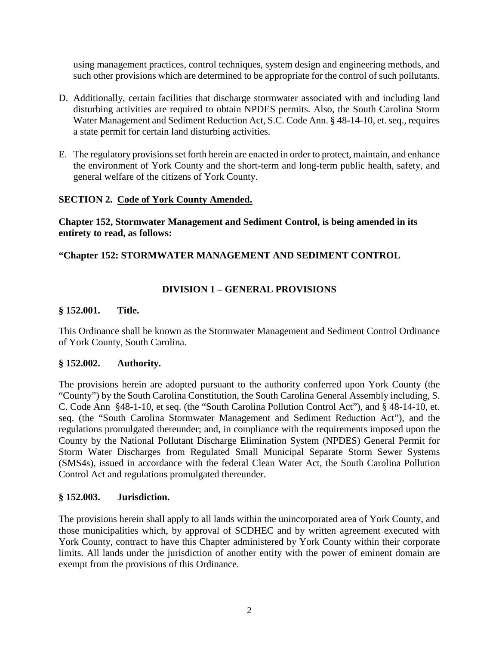using management practices, control techniques, system design and engineering methods, and such other provisions which are determined to be appropriate for the control of such pollutants.

- D. Additionally, certain facilities that discharge stormwater associated with and including land disturbing activities are required to obtain NPDES permits. Also, the South Carolina Storm Water Management and Sediment Reduction Act, S.C. Code Ann. § 48-14-10, et. seq., requires a state permit for certain land disturbing activities.
- E. The regulatory provisions set forth herein are enacted in order to protect, maintain, and enhance the environment of York County and the short-term and long-term public health, safety, and general welfare of the citizens of York County.

### **SECTION 2. Code of York County Amended.**

**Chapter 152, Stormwater Management and Sediment Control, is being amended in its entirety to read, as follows:**

### **"Chapter 152: STORMWATER MANAGEMENT AND SEDIMENT CONTROL**

# **DIVISION 1 – GENERAL PROVISIONS**

#### **§ 152.001. Title.**

This Ordinance shall be known as the Stormwater Management and Sediment Control Ordinance of York County, South Carolina.

#### **§ 152.002. Authority.**

The provisions herein are adopted pursuant to the authority conferred upon York County (the "County") by the South Carolina Constitution, the South Carolina General Assembly including, S. C. Code Ann §48-1-10, et seq. (the "South Carolina Pollution Control Act"), and § 48-14-10, et. seq. (the "South Carolina Stormwater Management and Sediment Reduction Act"), and the regulations promulgated thereunder; and, in compliance with the requirements imposed upon the County by the National Pollutant Discharge Elimination System (NPDES) General Permit for Storm Water Discharges from Regulated Small Municipal Separate Storm Sewer Systems (SMS4s), issued in accordance with the federal Clean Water Act, the South Carolina Pollution Control Act and regulations promulgated thereunder.

#### **§ 152.003. Jurisdiction.**

The provisions herein shall apply to all lands within the unincorporated area of York County, and those municipalities which, by approval of SCDHEC and by written agreement executed with York County, contract to have this Chapter administered by York County within their corporate limits. All lands under the jurisdiction of another entity with the power of eminent domain are exempt from the provisions of this Ordinance.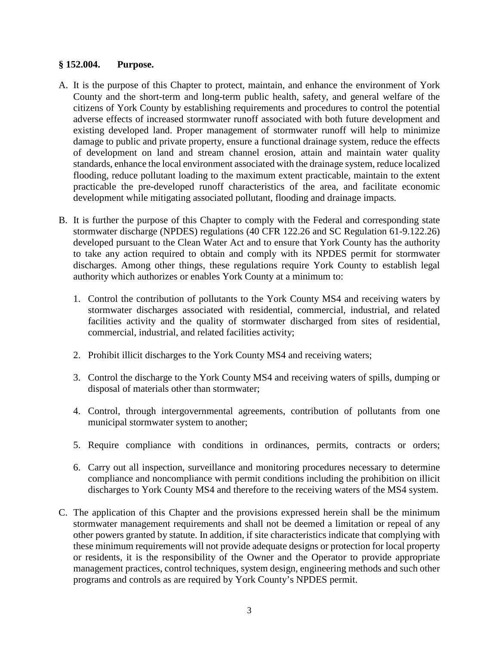#### **§ 152.004. Purpose.**

- A. It is the purpose of this Chapter to protect, maintain, and enhance the environment of York County and the short-term and long-term public health, safety, and general welfare of the citizens of York County by establishing requirements and procedures to control the potential adverse effects of increased stormwater runoff associated with both future development and existing developed land. Proper management of stormwater runoff will help to minimize damage to public and private property, ensure a functional drainage system, reduce the effects of development on land and stream channel erosion, attain and maintain water quality standards, enhance the local environment associated with the drainage system, reduce localized flooding, reduce pollutant loading to the maximum extent practicable, maintain to the extent practicable the pre-developed runoff characteristics of the area, and facilitate economic development while mitigating associated pollutant, flooding and drainage impacts.
- B. It is further the purpose of this Chapter to comply with the Federal and corresponding state stormwater discharge (NPDES) regulations (40 CFR 122.26 and SC Regulation 61-9.122.26) developed pursuant to the Clean Water Act and to ensure that York County has the authority to take any action required to obtain and comply with its NPDES permit for stormwater discharges. Among other things, these regulations require York County to establish legal authority which authorizes or enables York County at a minimum to:
	- 1. Control the contribution of pollutants to the York County MS4 and receiving waters by stormwater discharges associated with residential, commercial, industrial, and related facilities activity and the quality of stormwater discharged from sites of residential, commercial, industrial, and related facilities activity;
	- 2. Prohibit illicit discharges to the York County MS4 and receiving waters;
	- 3. Control the discharge to the York County MS4 and receiving waters of spills, dumping or disposal of materials other than stormwater;
	- 4. Control, through intergovernmental agreements, contribution of pollutants from one municipal stormwater system to another;
	- 5. Require compliance with conditions in ordinances, permits, contracts or orders;
	- 6. Carry out all inspection, surveillance and monitoring procedures necessary to determine compliance and noncompliance with permit conditions including the prohibition on illicit discharges to York County MS4 and therefore to the receiving waters of the MS4 system.
- C. The application of this Chapter and the provisions expressed herein shall be the minimum stormwater management requirements and shall not be deemed a limitation or repeal of any other powers granted by statute. In addition, if site characteristics indicate that complying with these minimum requirements will not provide adequate designs or protection for local property or residents, it is the responsibility of the Owner and the Operator to provide appropriate management practices, control techniques, system design, engineering methods and such other programs and controls as are required by York County's NPDES permit.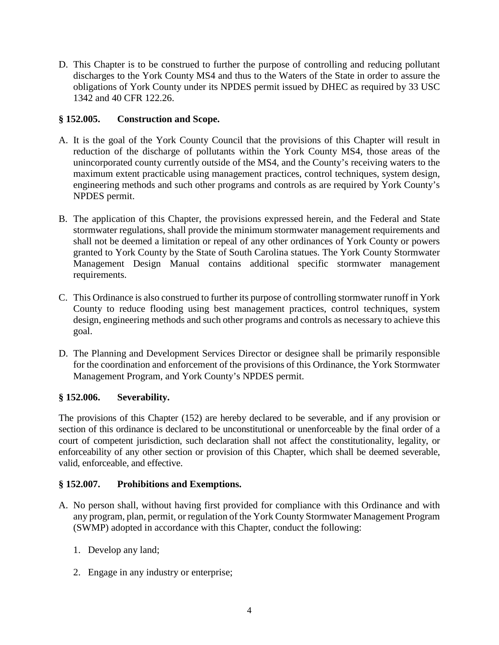D. This Chapter is to be construed to further the purpose of controlling and reducing pollutant discharges to the York County MS4 and thus to the Waters of the State in order to assure the obligations of York County under its NPDES permit issued by DHEC as required by 33 USC 1342 and 40 CFR 122.26.

# **§ 152.005. Construction and Scope.**

- A. It is the goal of the York County Council that the provisions of this Chapter will result in reduction of the discharge of pollutants within the York County MS4, those areas of the unincorporated county currently outside of the MS4, and the County's receiving waters to the maximum extent practicable using management practices, control techniques, system design, engineering methods and such other programs and controls as are required by York County's NPDES permit.
- B. The application of this Chapter, the provisions expressed herein, and the Federal and State stormwater regulations, shall provide the minimum stormwater management requirements and shall not be deemed a limitation or repeal of any other ordinances of York County or powers granted to York County by the State of South Carolina statues. The York County Stormwater Management Design Manual contains additional specific stormwater management requirements.
- C. This Ordinance is also construed to further its purpose of controlling stormwater runoff in York County to reduce flooding using best management practices, control techniques, system design, engineering methods and such other programs and controls as necessary to achieve this goal.
- D. The Planning and Development Services Director or designee shall be primarily responsible for the coordination and enforcement of the provisions of this Ordinance, the York Stormwater Management Program, and York County's NPDES permit.

# **§ 152.006. Severability.**

The provisions of this Chapter (152) are hereby declared to be severable, and if any provision or section of this ordinance is declared to be unconstitutional or unenforceable by the final order of a court of competent jurisdiction, such declaration shall not affect the constitutionality, legality, or enforceability of any other section or provision of this Chapter, which shall be deemed severable, valid, enforceable, and effective.

# **§ 152.007. Prohibitions and Exemptions.**

- A. No person shall, without having first provided for compliance with this Ordinance and with any program, plan, permit, or regulation of the York County Stormwater Management Program (SWMP) adopted in accordance with this Chapter, conduct the following:
	- 1. Develop any land;
	- 2. Engage in any industry or enterprise;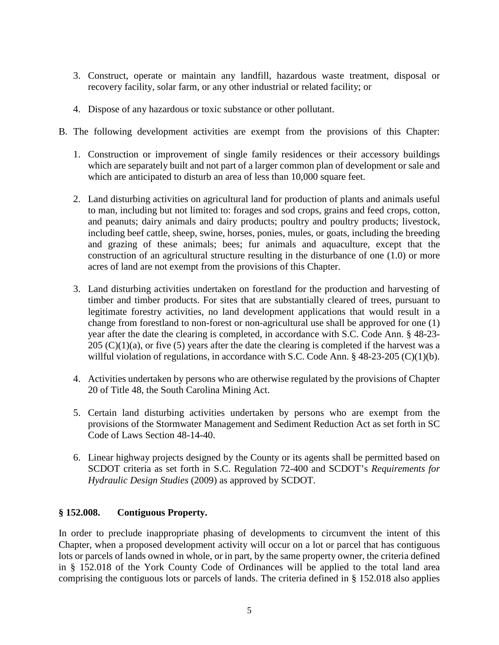- 3. Construct, operate or maintain any landfill, hazardous waste treatment, disposal or recovery facility, solar farm, or any other industrial or related facility; or
- 4. Dispose of any hazardous or toxic substance or other pollutant.
- B. The following development activities are exempt from the provisions of this Chapter:
	- 1. Construction or improvement of single family residences or their accessory buildings which are separately built and not part of a larger common plan of development or sale and which are anticipated to disturb an area of less than 10,000 square feet.
	- 2. Land disturbing activities on agricultural land for production of plants and animals useful to man, including but not limited to: forages and sod crops, grains and feed crops, cotton, and peanuts; dairy animals and dairy products; poultry and poultry products; livestock, including beef cattle, sheep, swine, horses, ponies, mules, or goats, including the breeding and grazing of these animals; bees; fur animals and aquaculture, except that the construction of an agricultural structure resulting in the disturbance of one (1.0) or more acres of land are not exempt from the provisions of this Chapter.
	- 3. Land disturbing activities undertaken on forestland for the production and harvesting of timber and timber products. For sites that are substantially cleared of trees, pursuant to legitimate forestry activities, no land development applications that would result in a change from forestland to non-forest or non-agricultural use shall be approved for one (1) year after the date the clearing is completed, in accordance with S.C. Code Ann. § 48-23-  $205$  (C)(1)(a), or five (5) years after the date the clearing is completed if the harvest was a willful violation of regulations, in accordance with S.C. Code Ann. § 48-23-205 (C)(1)(b).
	- 4. Activities undertaken by persons who are otherwise regulated by the provisions of Chapter 20 of Title 48, the South Carolina Mining Act.
	- 5. Certain land disturbing activities undertaken by persons who are exempt from the provisions of the Stormwater Management and Sediment Reduction Act as set forth in SC Code of Laws Section 48-14-40.
	- 6. Linear highway projects designed by the County or its agents shall be permitted based on SCDOT criteria as set forth in S.C. Regulation 72-400 and SCDOT's *Requirements for Hydraulic Design Studies* (2009) as approved by SCDOT.

#### **§ 152.008. Contiguous Property.**

In order to preclude inappropriate phasing of developments to circumvent the intent of this Chapter, when a proposed development activity will occur on a lot or parcel that has contiguous lots or parcels of lands owned in whole, or in part, by the same property owner, the criteria defined in § 152.018 of the York County Code of Ordinances will be applied to the total land area comprising the contiguous lots or parcels of lands. The criteria defined in § 152.018 also applies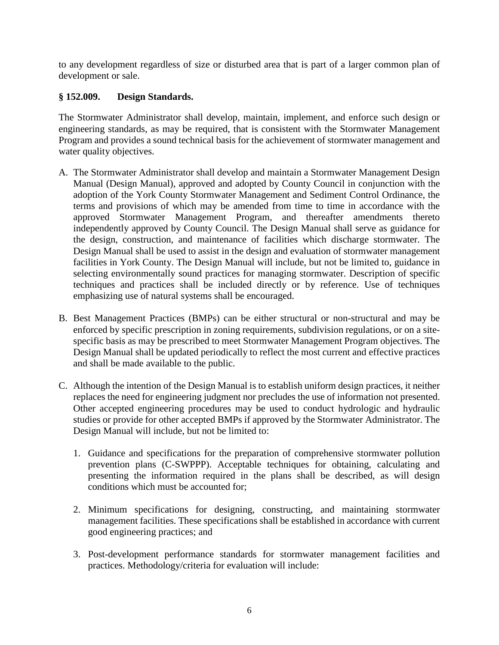to any development regardless of size or disturbed area that is part of a larger common plan of development or sale.

# **§ 152.009. Design Standards.**

The Stormwater Administrator shall develop, maintain, implement, and enforce such design or engineering standards, as may be required, that is consistent with the Stormwater Management Program and provides a sound technical basis for the achievement of stormwater management and water quality objectives.

- A. The Stormwater Administrator shall develop and maintain a Stormwater Management Design Manual (Design Manual), approved and adopted by County Council in conjunction with the adoption of the York County Stormwater Management and Sediment Control Ordinance, the terms and provisions of which may be amended from time to time in accordance with the approved Stormwater Management Program, and thereafter amendments thereto independently approved by County Council. The Design Manual shall serve as guidance for the design, construction, and maintenance of facilities which discharge stormwater. The Design Manual shall be used to assist in the design and evaluation of stormwater management facilities in York County. The Design Manual will include, but not be limited to, guidance in selecting environmentally sound practices for managing stormwater. Description of specific techniques and practices shall be included directly or by reference. Use of techniques emphasizing use of natural systems shall be encouraged.
- B. Best Management Practices (BMPs) can be either structural or non-structural and may be enforced by specific prescription in zoning requirements, subdivision regulations, or on a sitespecific basis as may be prescribed to meet Stormwater Management Program objectives. The Design Manual shall be updated periodically to reflect the most current and effective practices and shall be made available to the public.
- C. Although the intention of the Design Manual is to establish uniform design practices, it neither replaces the need for engineering judgment nor precludes the use of information not presented. Other accepted engineering procedures may be used to conduct hydrologic and hydraulic studies or provide for other accepted BMPs if approved by the Stormwater Administrator. The Design Manual will include, but not be limited to:
	- 1. Guidance and specifications for the preparation of comprehensive stormwater pollution prevention plans (C-SWPPP). Acceptable techniques for obtaining, calculating and presenting the information required in the plans shall be described, as will design conditions which must be accounted for;
	- 2. Minimum specifications for designing, constructing, and maintaining stormwater management facilities. These specifications shall be established in accordance with current good engineering practices; and
	- 3. Post-development performance standards for stormwater management facilities and practices. Methodology/criteria for evaluation will include: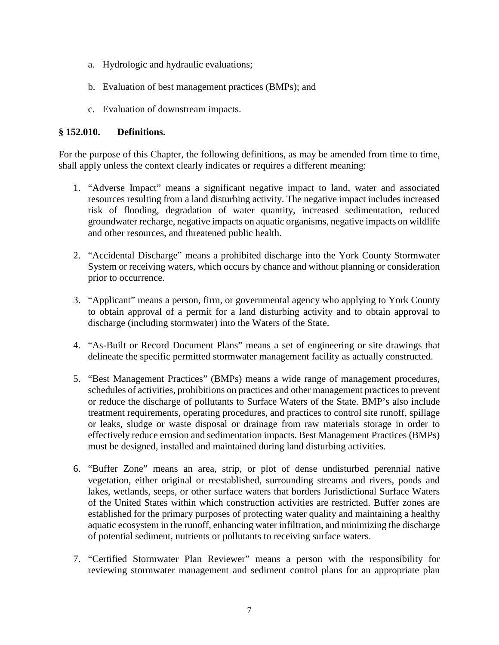- a. Hydrologic and hydraulic evaluations;
- b. Evaluation of best management practices (BMPs); and
- c. Evaluation of downstream impacts.

#### **§ 152.010. Definitions.**

For the purpose of this Chapter, the following definitions, as may be amended from time to time, shall apply unless the context clearly indicates or requires a different meaning:

- 1. "Adverse Impact" means a significant negative impact to land, water and associated resources resulting from a land disturbing activity. The negative impact includes increased risk of flooding, degradation of water quantity, increased sedimentation, reduced groundwater recharge, negative impacts on aquatic organisms, negative impacts on wildlife and other resources, and threatened public health.
- 2. "Accidental Discharge" means a prohibited discharge into the York County Stormwater System or receiving waters, which occurs by chance and without planning or consideration prior to occurrence.
- 3. "Applicant" means a person, firm, or governmental agency who applying to York County to obtain approval of a permit for a land disturbing activity and to obtain approval to discharge (including stormwater) into the Waters of the State.
- 4. "As-Built or Record Document Plans" means a set of engineering or site drawings that delineate the specific permitted stormwater management facility as actually constructed.
- 5. "Best Management Practices" (BMPs) means a wide range of management procedures, schedules of activities, prohibitions on practices and other management practices to prevent or reduce the discharge of pollutants to Surface Waters of the State. BMP's also include treatment requirements, operating procedures, and practices to control site runoff, spillage or leaks, sludge or waste disposal or drainage from raw materials storage in order to effectively reduce erosion and sedimentation impacts. Best Management Practices (BMPs) must be designed, installed and maintained during land disturbing activities.
- 6. "Buffer Zone" means an area, strip, or plot of dense undisturbed perennial native vegetation, either original or reestablished, surrounding streams and rivers, ponds and lakes, wetlands, seeps, or other surface waters that borders Jurisdictional Surface Waters of the United States within which construction activities are restricted. Buffer zones are established for the primary purposes of protecting water quality and maintaining a healthy aquatic ecosystem in the runoff, enhancing water infiltration, and minimizing the discharge of potential sediment, nutrients or pollutants to receiving surface waters.
- 7. "Certified Stormwater Plan Reviewer" means a person with the responsibility for reviewing stormwater management and sediment control plans for an appropriate plan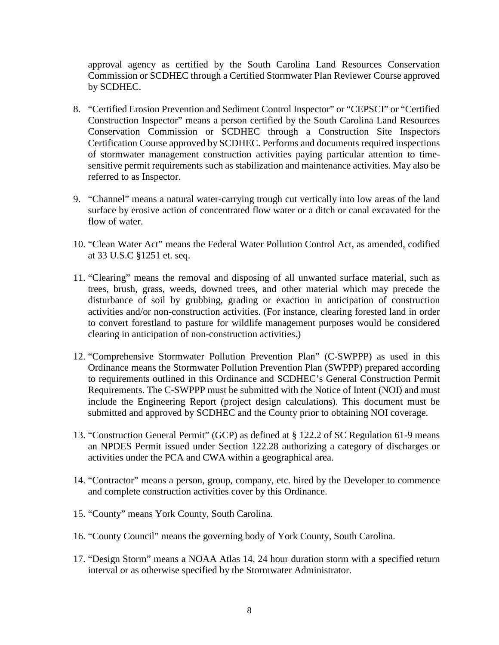approval agency as certified by the South Carolina Land Resources Conservation Commission or SCDHEC through a Certified Stormwater Plan Reviewer Course approved by SCDHEC.

- 8. "Certified Erosion Prevention and Sediment Control Inspector" or "CEPSCI" or "Certified Construction Inspector" means a person certified by the South Carolina Land Resources Conservation Commission or SCDHEC through a Construction Site Inspectors Certification Course approved by SCDHEC. Performs and documents required inspections of stormwater management construction activities paying particular attention to timesensitive permit requirements such as stabilization and maintenance activities. May also be referred to as Inspector.
- 9. "Channel" means a natural water-carrying trough cut vertically into low areas of the land surface by erosive action of concentrated flow water or a ditch or canal excavated for the flow of water.
- 10. "Clean Water Act" means the Federal Water Pollution Control Act, as amended, codified at 33 U.S.C §1251 et. seq.
- 11. "Clearing" means the removal and disposing of all unwanted surface material, such as trees, brush, grass, weeds, downed trees, and other material which may precede the disturbance of soil by grubbing, grading or exaction in anticipation of construction activities and/or non-construction activities. (For instance, clearing forested land in order to convert forestland to pasture for wildlife management purposes would be considered clearing in anticipation of non-construction activities.)
- 12. "Comprehensive Stormwater Pollution Prevention Plan" (C-SWPPP) as used in this Ordinance means the Stormwater Pollution Prevention Plan (SWPPP) prepared according to requirements outlined in this Ordinance and SCDHEC's General Construction Permit Requirements. The C-SWPPP must be submitted with the Notice of Intent (NOI) and must include the Engineering Report (project design calculations). This document must be submitted and approved by SCDHEC and the County prior to obtaining NOI coverage.
- 13. "Construction General Permit" (GCP) as defined at § 122.2 of SC Regulation 61-9 means an NPDES Permit issued under Section 122.28 authorizing a category of discharges or activities under the PCA and CWA within a geographical area.
- 14. "Contractor" means a person, group, company, etc. hired by the Developer to commence and complete construction activities cover by this Ordinance.
- 15. "County" means York County, South Carolina.
- 16. "County Council" means the governing body of York County, South Carolina.
- 17. "Design Storm" means a NOAA Atlas 14, 24 hour duration storm with a specified return interval or as otherwise specified by the Stormwater Administrator.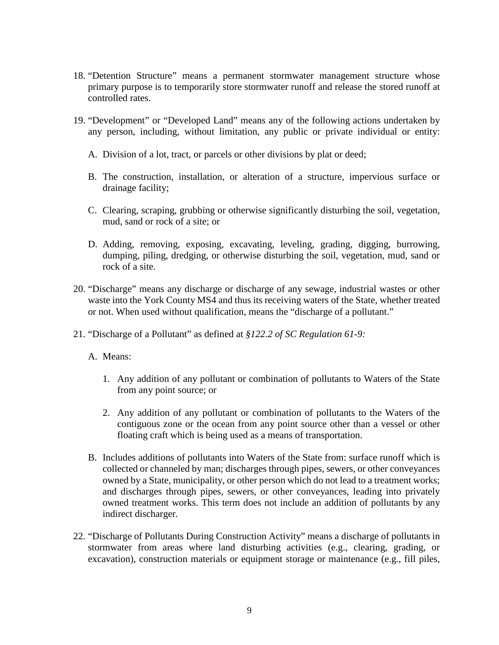- 18. "Detention Structure" means a permanent stormwater management structure whose primary purpose is to temporarily store stormwater runoff and release the stored runoff at controlled rates.
- 19. "Development" or "Developed Land" means any of the following actions undertaken by any person, including, without limitation, any public or private individual or entity:
	- A. Division of a lot, tract, or parcels or other divisions by plat or deed;
	- B. The construction, installation, or alteration of a structure, impervious surface or drainage facility;
	- C. Clearing, scraping, grubbing or otherwise significantly disturbing the soil, vegetation, mud, sand or rock of a site; or
	- D. Adding, removing, exposing, excavating, leveling, grading, digging, burrowing, dumping, piling, dredging, or otherwise disturbing the soil, vegetation, mud, sand or rock of a site.
- 20. "Discharge" means any discharge or discharge of any sewage, industrial wastes or other waste into the York County MS4 and thus its receiving waters of the State, whether treated or not. When used without qualification, means the "discharge of a pollutant."
- 21. "Discharge of a Pollutant" as defined at *§122.2 of SC Regulation 61-9:*
	- A. Means:
		- 1. Any addition of any pollutant or combination of pollutants to Waters of the State from any point source; or
		- 2. Any addition of any pollutant or combination of pollutants to the Waters of the contiguous zone or the ocean from any point source other than a vessel or other floating craft which is being used as a means of transportation.
	- B. Includes additions of pollutants into Waters of the State from: surface runoff which is collected or channeled by man; discharges through pipes, sewers, or other conveyances owned by a State, municipality, or other person which do not lead to a treatment works; and discharges through pipes, sewers, or other conveyances, leading into privately owned treatment works. This term does not include an addition of pollutants by any indirect discharger.
- 22. "Discharge of Pollutants During Construction Activity" means a discharge of pollutants in stormwater from areas where land disturbing activities (e.g., clearing, grading, or excavation), construction materials or equipment storage or maintenance (e.g., fill piles,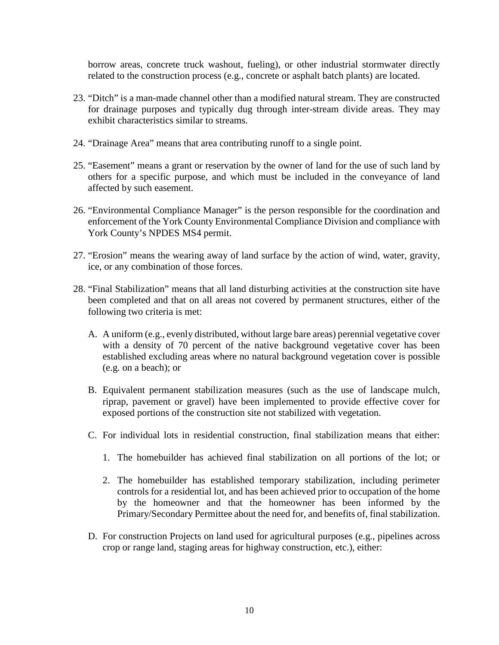borrow areas, concrete truck washout, fueling), or other industrial stormwater directly related to the construction process (e.g., concrete or asphalt batch plants) are located.

- 23. "Ditch" is a man-made channel other than a modified natural stream. They are constructed for drainage purposes and typically dug through inter-stream divide areas. They may exhibit characteristics similar to streams.
- 24. "Drainage Area" means that area contributing runoff to a single point.
- 25. "Easement" means a grant or reservation by the owner of land for the use of such land by others for a specific purpose, and which must be included in the conveyance of land affected by such easement.
- 26. "Environmental Compliance Manager" is the person responsible for the coordination and enforcement of the York County Environmental Compliance Division and compliance with York County's NPDES MS4 permit.
- 27. "Erosion" means the wearing away of land surface by the action of wind, water, gravity, ice, or any combination of those forces.
- 28. "Final Stabilization" means that all land disturbing activities at the construction site have been completed and that on all areas not covered by permanent structures, either of the following two criteria is met:
	- A. A uniform (e.g., evenly distributed, without large bare areas) perennial vegetative cover with a density of 70 percent of the native background vegetative cover has been established excluding areas where no natural background vegetation cover is possible (e.g. on a beach); or
	- B. Equivalent permanent stabilization measures (such as the use of landscape mulch, riprap, pavement or gravel) have been implemented to provide effective cover for exposed portions of the construction site not stabilized with vegetation.
	- C. For individual lots in residential construction, final stabilization means that either:
		- 1. The homebuilder has achieved final stabilization on all portions of the lot; or
		- 2. The homebuilder has established temporary stabilization, including perimeter controls for a residential lot, and has been achieved prior to occupation of the home by the homeowner and that the homeowner has been informed by the Primary/Secondary Permittee about the need for, and benefits of, final stabilization.
	- D. For construction Projects on land used for agricultural purposes (e.g., pipelines across crop or range land, staging areas for highway construction, etc.), either: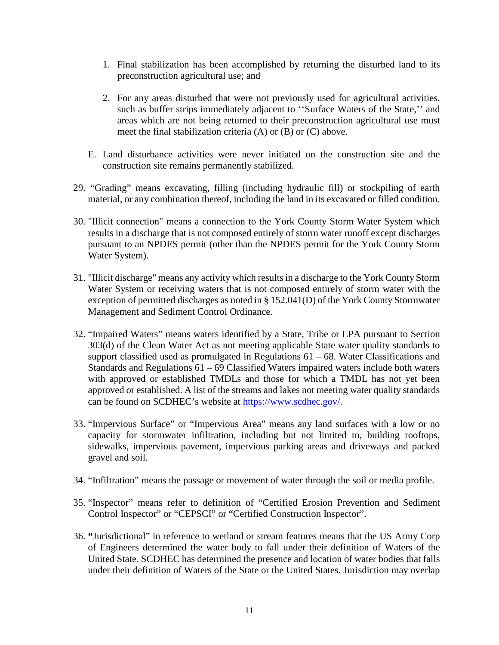- 1. Final stabilization has been accomplished by returning the disturbed land to its preconstruction agricultural use; and
- 2. For any areas disturbed that were not previously used for agricultural activities, such as buffer strips immediately adjacent to ''Surface Waters of the State,'' and areas which are not being returned to their preconstruction agricultural use must meet the final stabilization criteria (A) or (B) or (C) above.
- E. Land disturbance activities were never initiated on the construction site and the construction site remains permanently stabilized.
- 29. "Grading" means excavating, filling (including hydraulic fill) or stockpiling of earth material, or any combination thereof, including the land in its excavated or filled condition.
- 30. "Illicit connection" means a connection to the York County Storm Water System which results in a discharge that is not composed entirely of storm water runoff except discharges pursuant to an NPDES permit (other than the NPDES permit for the York County Storm Water System).
- 31. "Illicit discharge" means any activity which results in a discharge to the York County Storm Water System or receiving waters that is not composed entirely of storm water with the exception of permitted discharges as noted in § 152.041(D) of the York County Stormwater Management and Sediment Control Ordinance.
- 32. "Impaired Waters" means waters identified by a State, Tribe or EPA pursuant to Section 303(d) of the Clean Water Act as not meeting applicable State water quality standards to support classified used as promulgated in Regulations  $61 - 68$ . Water Classifications and Standards and Regulations  $61 - 69$  Classified Waters impaired waters include both waters with approved or established TMDLs and those for which a TMDL has not yet been approved or established. A list of the streams and lakes not meeting water quality standards can be found on SCDHEC's website at [https://www.scdhec.gov/.](https://www.scdhec.gov/)
- 33. "Impervious Surface" or "Impervious Area" means any land surfaces with a low or no capacity for stormwater infiltration, including but not limited to, building rooftops, sidewalks, impervious pavement, impervious parking areas and driveways and packed gravel and soil.
- 34. "Infiltration" means the passage or movement of water through the soil or media profile.
- 35. "Inspector" means refer to definition of "Certified Erosion Prevention and Sediment Control Inspector" or "CEPSCI" or "Certified Construction Inspector".
- 36. **"**Jurisdictional" in reference to wetland or stream features means that the US Army Corp of Engineers determined the water body to fall under their definition of Waters of the United State. SCDHEC has determined the presence and location of water bodies that falls under their definition of Waters of the State or the United States. Jurisdiction may overlap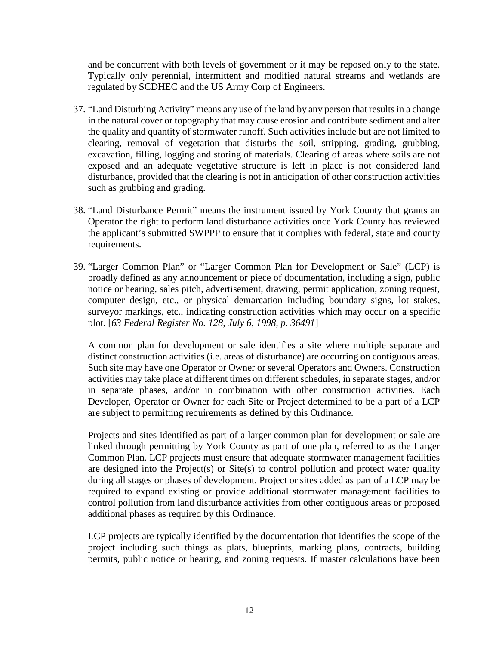and be concurrent with both levels of government or it may be reposed only to the state. Typically only perennial, intermittent and modified natural streams and wetlands are regulated by SCDHEC and the US Army Corp of Engineers.

- 37. "Land Disturbing Activity" means any use of the land by any person that results in a change in the natural cover or topography that may cause erosion and contribute sediment and alter the quality and quantity of stormwater runoff. Such activities include but are not limited to clearing, removal of vegetation that disturbs the soil, stripping, grading, grubbing, excavation, filling, logging and storing of materials. Clearing of areas where soils are not exposed and an adequate vegetative structure is left in place is not considered land disturbance, provided that the clearing is not in anticipation of other construction activities such as grubbing and grading.
- 38. "Land Disturbance Permit" means the instrument issued by York County that grants an Operator the right to perform land disturbance activities once York County has reviewed the applicant's submitted SWPPP to ensure that it complies with federal, state and county requirements.
- 39. "Larger Common Plan" or "Larger Common Plan for Development or Sale" (LCP) is broadly defined as any announcement or piece of documentation, including a sign, public notice or hearing, sales pitch, advertisement, drawing, permit application, zoning request, computer design, etc., or physical demarcation including boundary signs, lot stakes, surveyor markings, etc., indicating construction activities which may occur on a specific plot. [*63 Federal Register No. 128, July 6, 1998, p. 36491*]

A common plan for development or sale identifies a site where multiple separate and distinct construction activities (i.e. areas of disturbance) are occurring on contiguous areas. Such site may have one Operator or Owner or several Operators and Owners. Construction activities may take place at different times on different schedules, in separate stages, and/or in separate phases, and/or in combination with other construction activities. Each Developer, Operator or Owner for each Site or Project determined to be a part of a LCP are subject to permitting requirements as defined by this Ordinance.

Projects and sites identified as part of a larger common plan for development or sale are linked through permitting by York County as part of one plan, referred to as the Larger Common Plan. LCP projects must ensure that adequate stormwater management facilities are designed into the Project(s) or Site(s) to control pollution and protect water quality during all stages or phases of development. Project or sites added as part of a LCP may be required to expand existing or provide additional stormwater management facilities to control pollution from land disturbance activities from other contiguous areas or proposed additional phases as required by this Ordinance.

LCP projects are typically identified by the documentation that identifies the scope of the project including such things as plats, blueprints, marking plans, contracts, building permits, public notice or hearing, and zoning requests. If master calculations have been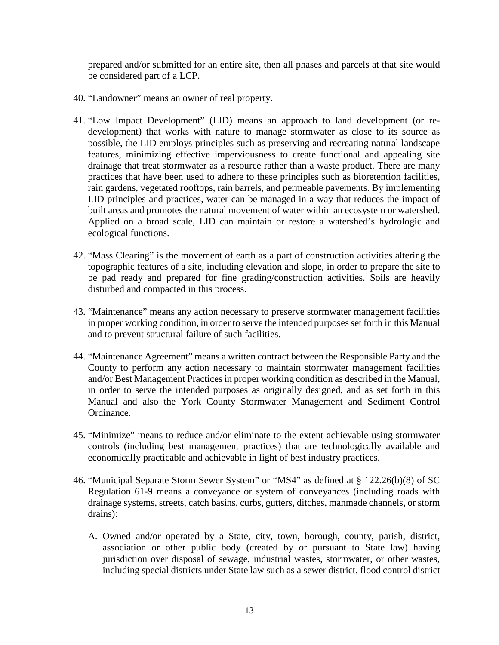prepared and/or submitted for an entire site, then all phases and parcels at that site would be considered part of a LCP.

- 40. "Landowner" means an owner of real property.
- 41. "Low Impact Development" (LID) means an approach to land development (or redevelopment) that works with nature to manage stormwater as close to its source as possible, the LID employs principles such as preserving and recreating natural landscape features, minimizing effective imperviousness to create functional and appealing site drainage that treat stormwater as a resource rather than a waste product. There are many practices that have been used to adhere to these principles such as bioretention facilities, rain gardens, vegetated rooftops, rain barrels, and permeable pavements. By implementing LID principles and practices, water can be managed in a way that reduces the impact of built areas and promotes the natural movement of water within an ecosystem or watershed. Applied on a broad scale, LID can maintain or restore a watershed's hydrologic and ecological functions.
- 42. "Mass Clearing" is the movement of earth as a part of construction activities altering the topographic features of a site, including elevation and slope, in order to prepare the site to be pad ready and prepared for fine grading/construction activities. Soils are heavily disturbed and compacted in this process.
- 43. "Maintenance" means any action necessary to preserve stormwater management facilities in proper working condition, in order to serve the intended purposes set forth in this Manual and to prevent structural failure of such facilities.
- 44. "Maintenance Agreement" means a written contract between the Responsible Party and the County to perform any action necessary to maintain stormwater management facilities and/or Best Management Practices in proper working condition as described in the Manual, in order to serve the intended purposes as originally designed, and as set forth in this Manual and also the York County Stormwater Management and Sediment Control Ordinance.
- 45. "Minimize" means to reduce and/or eliminate to the extent achievable using stormwater controls (including best management practices) that are technologically available and economically practicable and achievable in light of best industry practices.
- 46. "Municipal Separate Storm Sewer System" or "MS4" as defined at § 122.26(b)(8) of SC Regulation 61-9 means a conveyance or system of conveyances (including roads with drainage systems, streets, catch basins, curbs, gutters, ditches, manmade channels, or storm drains):
	- A. Owned and/or operated by a State, city, town, borough, county, parish, district, association or other public body (created by or pursuant to State law) having jurisdiction over disposal of sewage, industrial wastes, stormwater, or other wastes, including special districts under State law such as a sewer district, flood control district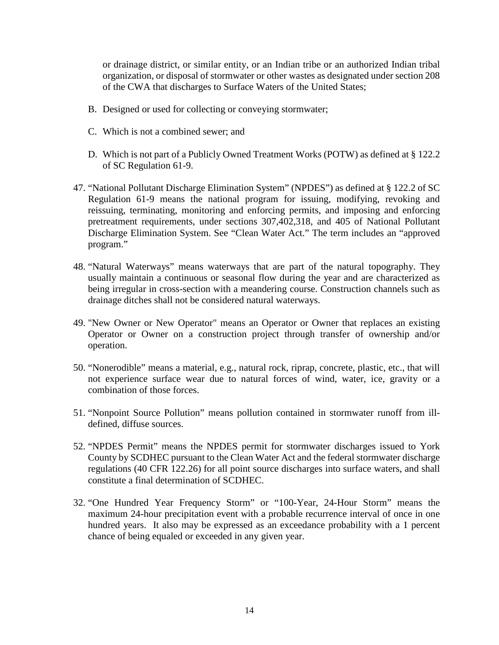or drainage district, or similar entity, or an Indian tribe or an authorized Indian tribal organization, or disposal of stormwater or other wastes as designated under section 208 of the CWA that discharges to Surface Waters of the United States;

- B. Designed or used for collecting or conveying stormwater;
- C. Which is not a combined sewer; and
- D. Which is not part of a Publicly Owned Treatment Works (POTW) as defined at § 122.2 of SC Regulation 61-9.
- 47. "National Pollutant Discharge Elimination System" (NPDES") as defined at § 122.2 of SC Regulation 61-9 means the national program for issuing, modifying, revoking and reissuing, terminating, monitoring and enforcing permits, and imposing and enforcing pretreatment requirements, under sections 307,402,318, and 405 of National Pollutant Discharge Elimination System. See "Clean Water Act." The term includes an "approved program."
- 48. "Natural Waterways" means waterways that are part of the natural topography. They usually maintain a continuous or seasonal flow during the year and are characterized as being irregular in cross-section with a meandering course. Construction channels such as drainage ditches shall not be considered natural waterways.
- 49. "New Owner or New Operator" means an Operator or Owner that replaces an existing Operator or Owner on a construction project through transfer of ownership and/or operation.
- 50. "Nonerodible" means a material, e.g., natural rock, riprap, concrete, plastic, etc., that will not experience surface wear due to natural forces of wind, water, ice, gravity or a combination of those forces.
- 51. "Nonpoint Source Pollution" means pollution contained in stormwater runoff from illdefined, diffuse sources.
- 52. "NPDES Permit" means the NPDES permit for stormwater discharges issued to York County by SCDHEC pursuant to the Clean Water Act and the federal stormwater discharge regulations (40 CFR 122.26) for all point source discharges into surface waters, and shall constitute a final determination of SCDHEC.
- 32. "One Hundred Year Frequency Storm" or "100-Year, 24-Hour Storm" means the maximum 24-hour precipitation event with a probable recurrence interval of once in one hundred years. It also may be expressed as an exceedance probability with a 1 percent chance of being equaled or exceeded in any given year.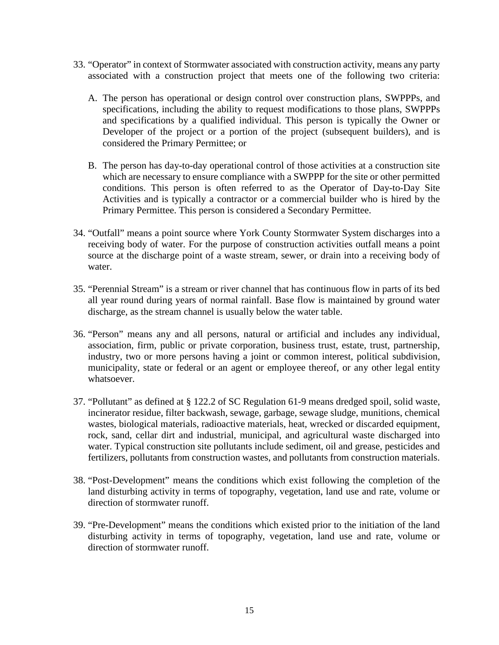- 33. "Operator" in context of Stormwater associated with construction activity, means any party associated with a construction project that meets one of the following two criteria:
	- A. The person has operational or design control over construction plans, SWPPPs, and specifications, including the ability to request modifications to those plans, SWPPPs and specifications by a qualified individual. This person is typically the Owner or Developer of the project or a portion of the project (subsequent builders), and is considered the Primary Permittee; or
	- B. The person has day-to-day operational control of those activities at a construction site which are necessary to ensure compliance with a SWPPP for the site or other permitted conditions. This person is often referred to as the Operator of Day-to-Day Site Activities and is typically a contractor or a commercial builder who is hired by the Primary Permittee. This person is considered a Secondary Permittee.
- 34. "Outfall" means a point source where York County Stormwater System discharges into a receiving body of water. For the purpose of construction activities outfall means a point source at the discharge point of a waste stream, sewer, or drain into a receiving body of water.
- 35. "Perennial Stream" is a stream or river channel that has continuous flow in parts of its bed all year round during years of normal rainfall. Base flow is maintained by ground water discharge, as the stream channel is usually below the water table.
- 36. "Person" means any and all persons, natural or artificial and includes any individual, association, firm, public or private corporation, business trust, estate, trust, partnership, industry, two or more persons having a joint or common interest, political subdivision, municipality, state or federal or an agent or employee thereof, or any other legal entity whatsoever.
- 37. "Pollutant" as defined at § 122.2 of SC Regulation 61-9 means dredged spoil, solid waste, incinerator residue, filter backwash, sewage, garbage, sewage sludge, munitions, chemical wastes, biological materials, radioactive materials, heat, wrecked or discarded equipment, rock, sand, cellar dirt and industrial, municipal, and agricultural waste discharged into water. Typical construction site pollutants include sediment, oil and grease, pesticides and fertilizers, pollutants from construction wastes, and pollutants from construction materials.
- 38. "Post-Development" means the conditions which exist following the completion of the land disturbing activity in terms of topography, vegetation, land use and rate, volume or direction of stormwater runoff.
- 39. "Pre-Development" means the conditions which existed prior to the initiation of the land disturbing activity in terms of topography, vegetation, land use and rate, volume or direction of stormwater runoff.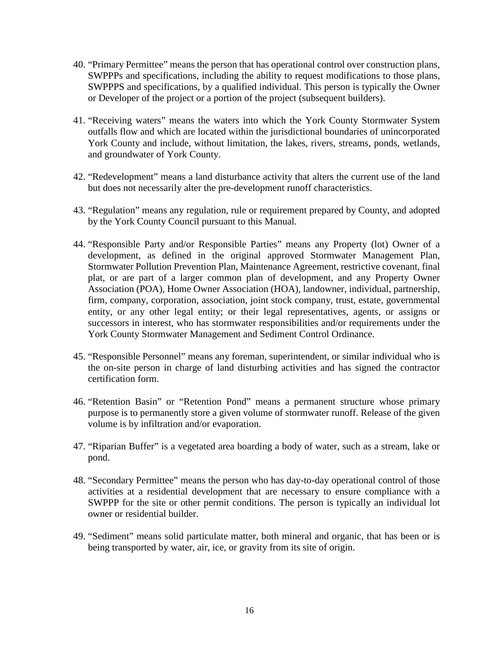- 40. "Primary Permittee" means the person that has operational control over construction plans, SWPPPs and specifications, including the ability to request modifications to those plans, SWPPPS and specifications, by a qualified individual. This person is typically the Owner or Developer of the project or a portion of the project (subsequent builders).
- 41. "Receiving waters" means the waters into which the York County Stormwater System outfalls flow and which are located within the jurisdictional boundaries of unincorporated York County and include, without limitation, the lakes, rivers, streams, ponds, wetlands, and groundwater of York County.
- 42. "Redevelopment" means a land disturbance activity that alters the current use of the land but does not necessarily alter the pre-development runoff characteristics.
- 43. "Regulation" means any regulation, rule or requirement prepared by County, and adopted by the York County Council pursuant to this Manual.
- 44. "Responsible Party and/or Responsible Parties" means any Property (lot) Owner of a development, as defined in the original approved Stormwater Management Plan, Stormwater Pollution Prevention Plan, Maintenance Agreement, restrictive covenant, final plat, or are part of a larger common plan of development, and any Property Owner Association (POA), Home Owner Association (HOA), landowner, individual, partnership, firm, company, corporation, association, joint stock company, trust, estate, governmental entity, or any other legal entity; or their legal representatives, agents, or assigns or successors in interest, who has stormwater responsibilities and/or requirements under the York County Stormwater Management and Sediment Control Ordinance.
- 45. "Responsible Personnel" means any foreman, superintendent, or similar individual who is the on-site person in charge of land disturbing activities and has signed the contractor certification form.
- 46. "Retention Basin" or "Retention Pond" means a permanent structure whose primary purpose is to permanently store a given volume of stormwater runoff. Release of the given volume is by infiltration and/or evaporation.
- 47. "Riparian Buffer" is a vegetated area boarding a body of water, such as a stream, lake or pond.
- 48. "Secondary Permittee" means the person who has day-to-day operational control of those activities at a residential development that are necessary to ensure compliance with a SWPPP for the site or other permit conditions. The person is typically an individual lot owner or residential builder.
- 49. "Sediment" means solid particulate matter, both mineral and organic, that has been or is being transported by water, air, ice, or gravity from its site of origin.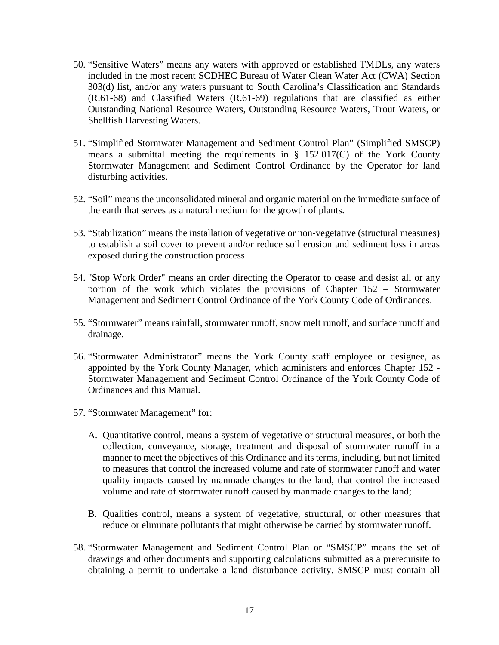- 50. "Sensitive Waters" means any waters with approved or established TMDLs, any waters included in the most recent SCDHEC Bureau of Water Clean Water Act (CWA) Section 303(d) list, and/or any waters pursuant to South Carolina's Classification and Standards (R.61-68) and Classified Waters (R.61-69) regulations that are classified as either Outstanding National Resource Waters, Outstanding Resource Waters, Trout Waters, or Shellfish Harvesting Waters.
- 51. "Simplified Stormwater Management and Sediment Control Plan" (Simplified SMSCP) means a submittal meeting the requirements in § 152.017(C) of the York County Stormwater Management and Sediment Control Ordinance by the Operator for land disturbing activities.
- 52. "Soil" means the unconsolidated mineral and organic material on the immediate surface of the earth that serves as a natural medium for the growth of plants.
- 53. "Stabilization" means the installation of vegetative or non-vegetative (structural measures) to establish a soil cover to prevent and/or reduce soil erosion and sediment loss in areas exposed during the construction process.
- 54. "Stop Work Order" means an order directing the Operator to cease and desist all or any portion of the work which violates the provisions of Chapter 152 – Stormwater Management and Sediment Control Ordinance of the York County Code of Ordinances.
- 55. "Stormwater" means rainfall, stormwater runoff, snow melt runoff, and surface runoff and drainage.
- 56. "Stormwater Administrator" means the York County staff employee or designee, as appointed by the York County Manager, which administers and enforces Chapter 152 - Stormwater Management and Sediment Control Ordinance of the York County Code of Ordinances and this Manual.
- 57. "Stormwater Management" for:
	- A. Quantitative control, means a system of vegetative or structural measures, or both the collection, conveyance, storage, treatment and disposal of stormwater runoff in a manner to meet the objectives of this Ordinance and its terms, including, but not limited to measures that control the increased volume and rate of stormwater runoff and water quality impacts caused by manmade changes to the land, that control the increased volume and rate of stormwater runoff caused by manmade changes to the land;
	- B. Qualities control, means a system of vegetative, structural, or other measures that reduce or eliminate pollutants that might otherwise be carried by stormwater runoff.
- 58. "Stormwater Management and Sediment Control Plan or "SMSCP" means the set of drawings and other documents and supporting calculations submitted as a prerequisite to obtaining a permit to undertake a land disturbance activity. SMSCP must contain all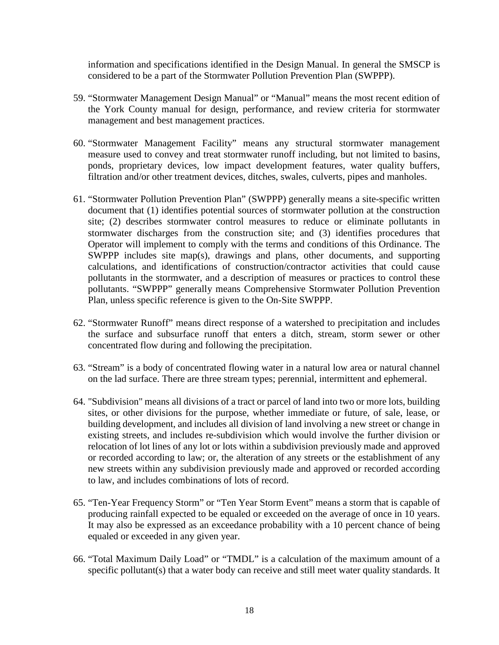information and specifications identified in the Design Manual. In general the SMSCP is considered to be a part of the Stormwater Pollution Prevention Plan (SWPPP).

- 59. "Stormwater Management Design Manual" or "Manual" means the most recent edition of the York County manual for design, performance, and review criteria for stormwater management and best management practices.
- 60. "Stormwater Management Facility" means any structural stormwater management measure used to convey and treat stormwater runoff including, but not limited to basins, ponds, proprietary devices, low impact development features, water quality buffers, filtration and/or other treatment devices, ditches, swales, culverts, pipes and manholes.
- 61. "Stormwater Pollution Prevention Plan" (SWPPP) generally means a site-specific written document that (1) identifies potential sources of stormwater pollution at the construction site; (2) describes stormwater control measures to reduce or eliminate pollutants in stormwater discharges from the construction site; and (3) identifies procedures that Operator will implement to comply with the terms and conditions of this Ordinance. The SWPPP includes site map(s), drawings and plans, other documents, and supporting calculations, and identifications of construction/contractor activities that could cause pollutants in the stormwater, and a description of measures or practices to control these pollutants. "SWPPP" generally means Comprehensive Stormwater Pollution Prevention Plan, unless specific reference is given to the On-Site SWPPP.
- 62. "Stormwater Runoff" means direct response of a watershed to precipitation and includes the surface and subsurface runoff that enters a ditch, stream, storm sewer or other concentrated flow during and following the precipitation.
- 63. "Stream" is a body of concentrated flowing water in a natural low area or natural channel on the lad surface. There are three stream types; perennial, intermittent and ephemeral.
- 64. "Subdivision" means all divisions of a tract or parcel of land into two or more lots, building sites, or other divisions for the purpose, whether immediate or future, of sale, lease, or building development, and includes all division of land involving a new street or change in existing streets, and includes re-subdivision which would involve the further division or relocation of lot lines of any lot or lots within a subdivision previously made and approved or recorded according to law; or, the alteration of any streets or the establishment of any new streets within any subdivision previously made and approved or recorded according to law, and includes combinations of lots of record.
- 65. "Ten-Year Frequency Storm" or "Ten Year Storm Event" means a storm that is capable of producing rainfall expected to be equaled or exceeded on the average of once in 10 years. It may also be expressed as an exceedance probability with a 10 percent chance of being equaled or exceeded in any given year.
- 66. "Total Maximum Daily Load" or "TMDL" is a calculation of the maximum amount of a specific pollutant(s) that a water body can receive and still meet water quality standards. It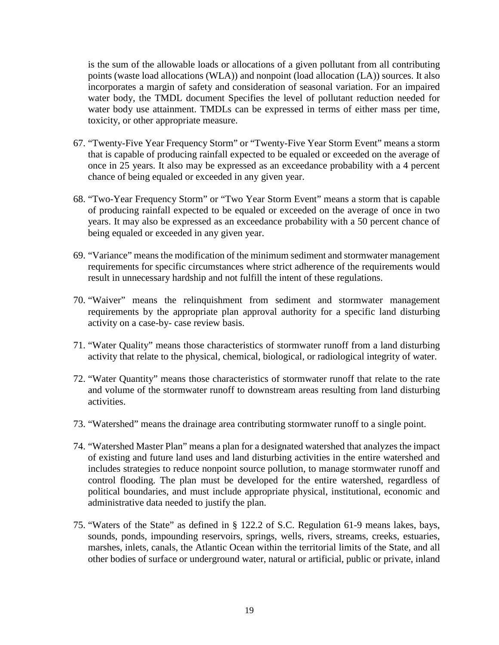is the sum of the allowable loads or allocations of a given pollutant from all contributing points (waste load allocations (WLA)) and nonpoint (load allocation (LA)) sources. It also incorporates a margin of safety and consideration of seasonal variation. For an impaired water body, the TMDL document Specifies the level of pollutant reduction needed for water body use attainment. TMDLs can be expressed in terms of either mass per time, toxicity, or other appropriate measure.

- 67. "Twenty-Five Year Frequency Storm" or "Twenty-Five Year Storm Event" means a storm that is capable of producing rainfall expected to be equaled or exceeded on the average of once in 25 years. It also may be expressed as an exceedance probability with a 4 percent chance of being equaled or exceeded in any given year.
- 68. "Two-Year Frequency Storm" or "Two Year Storm Event" means a storm that is capable of producing rainfall expected to be equaled or exceeded on the average of once in two years. It may also be expressed as an exceedance probability with a 50 percent chance of being equaled or exceeded in any given year.
- 69. "Variance" means the modification of the minimum sediment and stormwater management requirements for specific circumstances where strict adherence of the requirements would result in unnecessary hardship and not fulfill the intent of these regulations.
- 70. "Waiver" means the relinquishment from sediment and stormwater management requirements by the appropriate plan approval authority for a specific land disturbing activity on a case-by- case review basis.
- 71. "Water Quality" means those characteristics of stormwater runoff from a land disturbing activity that relate to the physical, chemical, biological, or radiological integrity of water.
- 72. "Water Quantity" means those characteristics of stormwater runoff that relate to the rate and volume of the stormwater runoff to downstream areas resulting from land disturbing activities.
- 73. "Watershed" means the drainage area contributing stormwater runoff to a single point.
- 74. "Watershed Master Plan" means a plan for a designated watershed that analyzes the impact of existing and future land uses and land disturbing activities in the entire watershed and includes strategies to reduce nonpoint source pollution, to manage stormwater runoff and control flooding. The plan must be developed for the entire watershed, regardless of political boundaries, and must include appropriate physical, institutional, economic and administrative data needed to justify the plan.
- 75. "Waters of the State" as defined in § 122.2 of S.C. Regulation 61-9 means lakes, bays, sounds, ponds, impounding reservoirs, springs, wells, rivers, streams, creeks, estuaries, marshes, inlets, canals, the Atlantic Ocean within the territorial limits of the State, and all other bodies of surface or underground water, natural or artificial, public or private, inland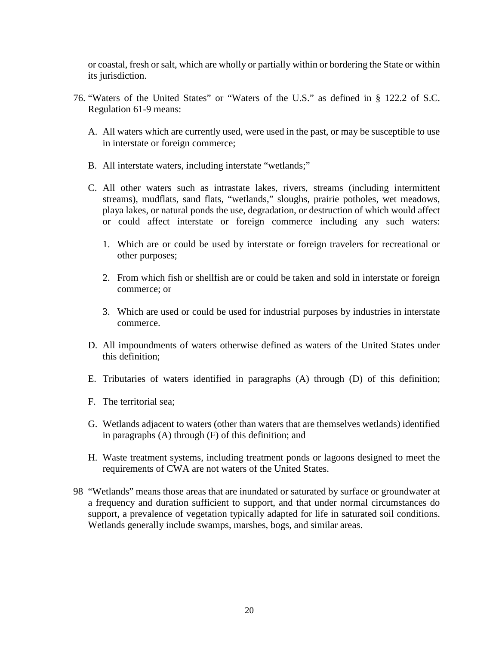or coastal, fresh or salt, which are wholly or partially within or bordering the State or within its jurisdiction.

- 76. "Waters of the United States" or "Waters of the U.S." as defined in § 122.2 of S.C. Regulation 61-9 means:
	- A. All waters which are currently used, were used in the past, or may be susceptible to use in interstate or foreign commerce;
	- B. All interstate waters, including interstate "wetlands;"
	- C. All other waters such as intrastate lakes, rivers, streams (including intermittent streams), mudflats, sand flats, "wetlands," sloughs, prairie potholes, wet meadows, playa lakes, or natural ponds the use, degradation, or destruction of which would affect or could affect interstate or foreign commerce including any such waters:
		- 1. Which are or could be used by interstate or foreign travelers for recreational or other purposes;
		- 2. From which fish or shellfish are or could be taken and sold in interstate or foreign commerce; or
		- 3. Which are used or could be used for industrial purposes by industries in interstate commerce.
	- D. All impoundments of waters otherwise defined as waters of the United States under this definition;
	- E. Tributaries of waters identified in paragraphs (A) through (D) of this definition;
	- F. The territorial sea;
	- G. Wetlands adjacent to waters (other than waters that are themselves wetlands) identified in paragraphs (A) through (F) of this definition; and
	- H. Waste treatment systems, including treatment ponds or lagoons designed to meet the requirements of CWA are not waters of the United States.
- 98 "Wetlands" means those areas that are inundated or saturated by surface or groundwater at a frequency and duration sufficient to support, and that under normal circumstances do support, a prevalence of vegetation typically adapted for life in saturated soil conditions. Wetlands generally include swamps, marshes, bogs, and similar areas.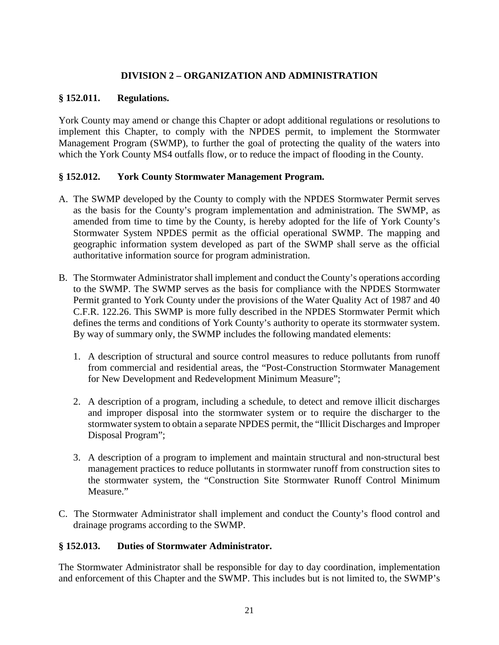# **DIVISION 2 – ORGANIZATION AND ADMINISTRATION**

### **§ 152.011. Regulations.**

York County may amend or change this Chapter or adopt additional regulations or resolutions to implement this Chapter, to comply with the NPDES permit, to implement the Stormwater Management Program (SWMP), to further the goal of protecting the quality of the waters into which the York County MS4 outfalls flow, or to reduce the impact of flooding in the County.

# **§ 152.012. York County Stormwater Management Program.**

- A. The SWMP developed by the County to comply with the NPDES Stormwater Permit serves as the basis for the County's program implementation and administration. The SWMP, as amended from time to time by the County, is hereby adopted for the life of York County's Stormwater System NPDES permit as the official operational SWMP. The mapping and geographic information system developed as part of the SWMP shall serve as the official authoritative information source for program administration.
- B. The Stormwater Administrator shall implement and conduct the County's operations according to the SWMP. The SWMP serves as the basis for compliance with the NPDES Stormwater Permit granted to York County under the provisions of the Water Quality Act of 1987 and 40 C.F.R. 122.26. This SWMP is more fully described in the NPDES Stormwater Permit which defines the terms and conditions of York County's authority to operate its stormwater system. By way of summary only, the SWMP includes the following mandated elements:
	- 1. A description of structural and source control measures to reduce pollutants from runoff from commercial and residential areas, the "Post-Construction Stormwater Management for New Development and Redevelopment Minimum Measure";
	- 2. A description of a program, including a schedule, to detect and remove illicit discharges and improper disposal into the stormwater system or to require the discharger to the stormwater system to obtain a separate NPDES permit, the "Illicit Discharges and Improper Disposal Program";
	- 3. A description of a program to implement and maintain structural and non-structural best management practices to reduce pollutants in stormwater runoff from construction sites to the stormwater system, the "Construction Site Stormwater Runoff Control Minimum Measure."
- C. The Stormwater Administrator shall implement and conduct the County's flood control and drainage programs according to the SWMP.

# **§ 152.013. Duties of Stormwater Administrator.**

The Stormwater Administrator shall be responsible for day to day coordination, implementation and enforcement of this Chapter and the SWMP. This includes but is not limited to, the SWMP's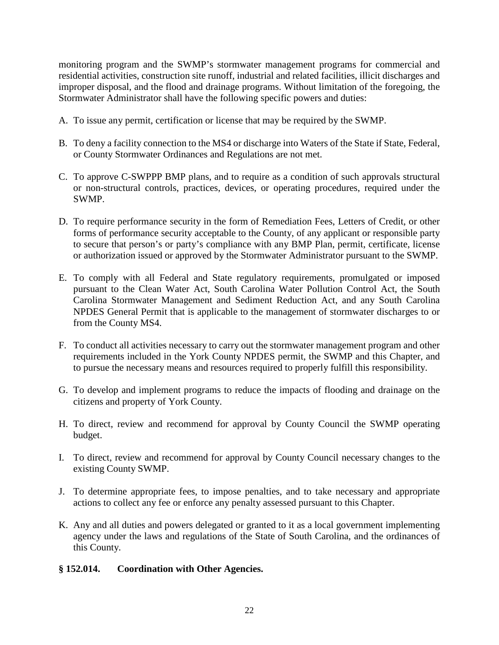monitoring program and the SWMP's stormwater management programs for commercial and residential activities, construction site runoff, industrial and related facilities, illicit discharges and improper disposal, and the flood and drainage programs. Without limitation of the foregoing, the Stormwater Administrator shall have the following specific powers and duties:

- A. To issue any permit, certification or license that may be required by the SWMP.
- B. To deny a facility connection to the MS4 or discharge into Waters of the State if State, Federal, or County Stormwater Ordinances and Regulations are not met.
- C. To approve C-SWPPP BMP plans, and to require as a condition of such approvals structural or non-structural controls, practices, devices, or operating procedures, required under the SWMP.
- D. To require performance security in the form of Remediation Fees, Letters of Credit, or other forms of performance security acceptable to the County, of any applicant or responsible party to secure that person's or party's compliance with any BMP Plan, permit, certificate, license or authorization issued or approved by the Stormwater Administrator pursuant to the SWMP.
- E. To comply with all Federal and State regulatory requirements, promulgated or imposed pursuant to the Clean Water Act, South Carolina Water Pollution Control Act, the South Carolina Stormwater Management and Sediment Reduction Act, and any South Carolina NPDES General Permit that is applicable to the management of stormwater discharges to or from the County MS4.
- F. To conduct all activities necessary to carry out the stormwater management program and other requirements included in the York County NPDES permit, the SWMP and this Chapter, and to pursue the necessary means and resources required to properly fulfill this responsibility.
- G. To develop and implement programs to reduce the impacts of flooding and drainage on the citizens and property of York County.
- H. To direct, review and recommend for approval by County Council the SWMP operating budget.
- I. To direct, review and recommend for approval by County Council necessary changes to the existing County SWMP.
- J. To determine appropriate fees, to impose penalties, and to take necessary and appropriate actions to collect any fee or enforce any penalty assessed pursuant to this Chapter.
- K. Any and all duties and powers delegated or granted to it as a local government implementing agency under the laws and regulations of the State of South Carolina, and the ordinances of this County.

#### **§ 152.014. Coordination with Other Agencies.**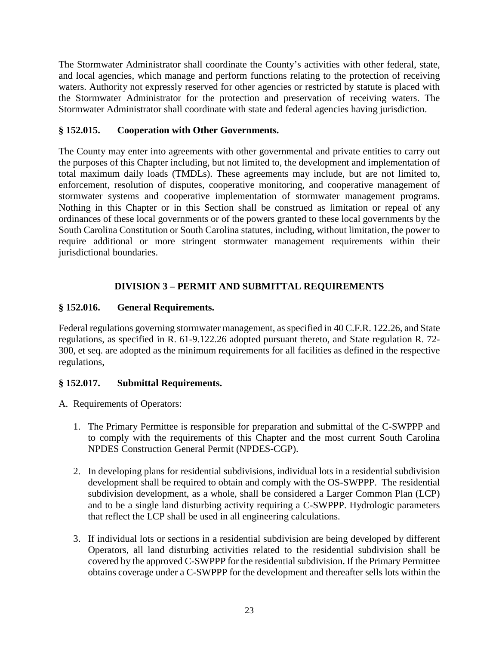The Stormwater Administrator shall coordinate the County's activities with other federal, state, and local agencies, which manage and perform functions relating to the protection of receiving waters. Authority not expressly reserved for other agencies or restricted by statute is placed with the Stormwater Administrator for the protection and preservation of receiving waters. The Stormwater Administrator shall coordinate with state and federal agencies having jurisdiction.

# **§ 152.015. Cooperation with Other Governments.**

The County may enter into agreements with other governmental and private entities to carry out the purposes of this Chapter including, but not limited to, the development and implementation of total maximum daily loads (TMDLs). These agreements may include, but are not limited to, enforcement, resolution of disputes, cooperative monitoring, and cooperative management of stormwater systems and cooperative implementation of stormwater management programs. Nothing in this Chapter or in this Section shall be construed as limitation or repeal of any ordinances of these local governments or of the powers granted to these local governments by the South Carolina Constitution or South Carolina statutes, including, without limitation, the power to require additional or more stringent stormwater management requirements within their jurisdictional boundaries.

# **DIVISION 3 – PERMIT AND SUBMITTAL REQUIREMENTS**

# **§ 152.016. General Requirements.**

Federal regulations governing stormwater management, as specified in 40 C.F.R. 122.26, and State regulations, as specified in R. 61-9.122.26 adopted pursuant thereto, and State regulation R. 72- 300, et seq. are adopted as the minimum requirements for all facilities as defined in the respective regulations,

# **§ 152.017. Submittal Requirements.**

A. Requirements of Operators:

- 1. The Primary Permittee is responsible for preparation and submittal of the C-SWPPP and to comply with the requirements of this Chapter and the most current South Carolina NPDES Construction General Permit (NPDES-CGP).
- 2. In developing plans for residential subdivisions, individual lots in a residential subdivision development shall be required to obtain and comply with the OS-SWPPP. The residential subdivision development, as a whole, shall be considered a Larger Common Plan (LCP) and to be a single land disturbing activity requiring a C-SWPPP. Hydrologic parameters that reflect the LCP shall be used in all engineering calculations.
- 3. If individual lots or sections in a residential subdivision are being developed by different Operators, all land disturbing activities related to the residential subdivision shall be covered by the approved C-SWPPP for the residential subdivision. If the Primary Permittee obtains coverage under a C-SWPPP for the development and thereafter sells lots within the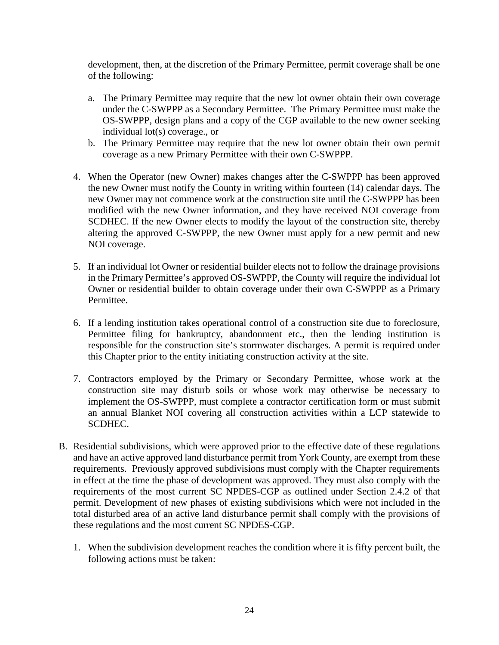development, then, at the discretion of the Primary Permittee, permit coverage shall be one of the following:

- a. The Primary Permittee may require that the new lot owner obtain their own coverage under the C-SWPPP as a Secondary Permittee. The Primary Permittee must make the OS-SWPPP, design plans and a copy of the CGP available to the new owner seeking individual lot(s) coverage., or
- b. The Primary Permittee may require that the new lot owner obtain their own permit coverage as a new Primary Permittee with their own C-SWPPP.
- 4. When the Operator (new Owner) makes changes after the C-SWPPP has been approved the new Owner must notify the County in writing within fourteen (14) calendar days. The new Owner may not commence work at the construction site until the C-SWPPP has been modified with the new Owner information, and they have received NOI coverage from SCDHEC. If the new Owner elects to modify the layout of the construction site, thereby altering the approved C-SWPPP, the new Owner must apply for a new permit and new NOI coverage.
- 5. If an individual lot Owner or residential builder elects not to follow the drainage provisions in the Primary Permittee's approved OS-SWPPP, the County will require the individual lot Owner or residential builder to obtain coverage under their own C-SWPPP as a Primary Permittee.
- 6. If a lending institution takes operational control of a construction site due to foreclosure, Permittee filing for bankruptcy, abandonment etc., then the lending institution is responsible for the construction site's stormwater discharges. A permit is required under this Chapter prior to the entity initiating construction activity at the site.
- 7. Contractors employed by the Primary or Secondary Permittee, whose work at the construction site may disturb soils or whose work may otherwise be necessary to implement the OS-SWPPP, must complete a contractor certification form or must submit an annual Blanket NOI covering all construction activities within a LCP statewide to SCDHEC.
- B. Residential subdivisions, which were approved prior to the effective date of these regulations and have an active approved land disturbance permit from York County, are exempt from these requirements. Previously approved subdivisions must comply with the Chapter requirements in effect at the time the phase of development was approved. They must also comply with the requirements of the most current SC NPDES-CGP as outlined under Section 2.4.2 of that permit. Development of new phases of existing subdivisions which were not included in the total disturbed area of an active land disturbance permit shall comply with the provisions of these regulations and the most current SC NPDES-CGP.
	- 1. When the subdivision development reaches the condition where it is fifty percent built, the following actions must be taken: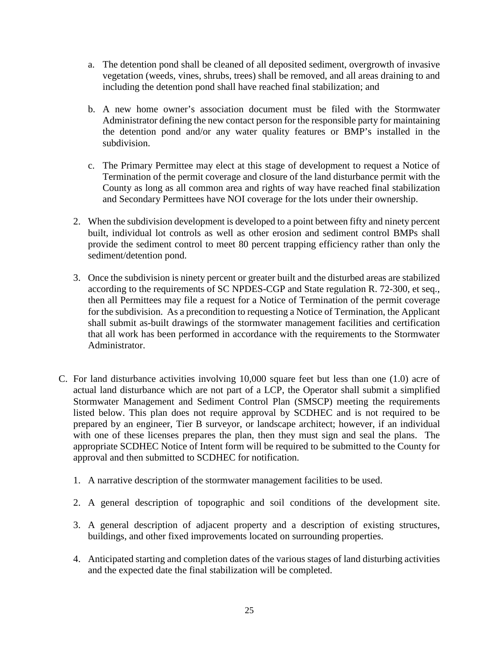- a. The detention pond shall be cleaned of all deposited sediment, overgrowth of invasive vegetation (weeds, vines, shrubs, trees) shall be removed, and all areas draining to and including the detention pond shall have reached final stabilization; and
- b. A new home owner's association document must be filed with the Stormwater Administrator defining the new contact person for the responsible party for maintaining the detention pond and/or any water quality features or BMP's installed in the subdivision.
- c. The Primary Permittee may elect at this stage of development to request a Notice of Termination of the permit coverage and closure of the land disturbance permit with the County as long as all common area and rights of way have reached final stabilization and Secondary Permittees have NOI coverage for the lots under their ownership.
- 2. When the subdivision development is developed to a point between fifty and ninety percent built, individual lot controls as well as other erosion and sediment control BMPs shall provide the sediment control to meet 80 percent trapping efficiency rather than only the sediment/detention pond.
- 3. Once the subdivision is ninety percent or greater built and the disturbed areas are stabilized according to the requirements of SC NPDES-CGP and State regulation R. 72-300, et seq., then all Permittees may file a request for a Notice of Termination of the permit coverage for the subdivision. As a precondition to requesting a Notice of Termination, the Applicant shall submit as-built drawings of the stormwater management facilities and certification that all work has been performed in accordance with the requirements to the Stormwater Administrator.
- C. For land disturbance activities involving 10,000 square feet but less than one (1.0) acre of actual land disturbance which are not part of a LCP, the Operator shall submit a simplified Stormwater Management and Sediment Control Plan (SMSCP) meeting the requirements listed below. This plan does not require approval by SCDHEC and is not required to be prepared by an engineer, Tier B surveyor, or landscape architect; however, if an individual with one of these licenses prepares the plan, then they must sign and seal the plans. The appropriate SCDHEC Notice of Intent form will be required to be submitted to the County for approval and then submitted to SCDHEC for notification.
	- 1. A narrative description of the stormwater management facilities to be used.
	- 2. A general description of topographic and soil conditions of the development site.
	- 3. A general description of adjacent property and a description of existing structures, buildings, and other fixed improvements located on surrounding properties.
	- 4. Anticipated starting and completion dates of the various stages of land disturbing activities and the expected date the final stabilization will be completed.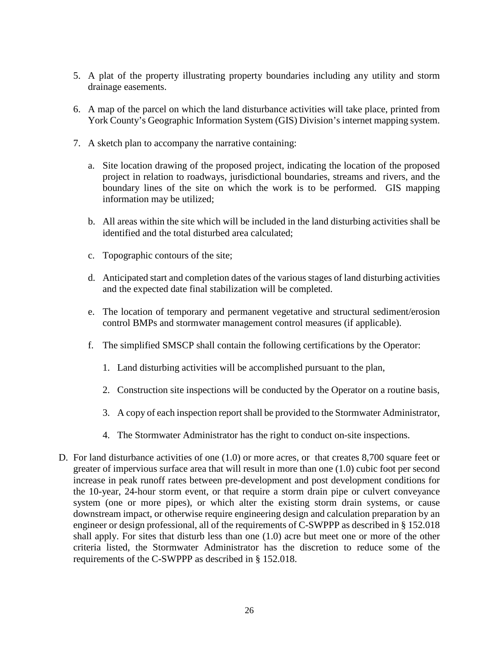- 5. A plat of the property illustrating property boundaries including any utility and storm drainage easements.
- 6. A map of the parcel on which the land disturbance activities will take place, printed from York County's Geographic Information System (GIS) Division's internet mapping system.
- 7. A sketch plan to accompany the narrative containing:
	- a. Site location drawing of the proposed project, indicating the location of the proposed project in relation to roadways, jurisdictional boundaries, streams and rivers, and the boundary lines of the site on which the work is to be performed. GIS mapping information may be utilized;
	- b. All areas within the site which will be included in the land disturbing activities shall be identified and the total disturbed area calculated;
	- c. Topographic contours of the site;
	- d. Anticipated start and completion dates of the various stages of land disturbing activities and the expected date final stabilization will be completed.
	- e. The location of temporary and permanent vegetative and structural sediment/erosion control BMPs and stormwater management control measures (if applicable).
	- f. The simplified SMSCP shall contain the following certifications by the Operator:
		- 1. Land disturbing activities will be accomplished pursuant to the plan,
		- 2. Construction site inspections will be conducted by the Operator on a routine basis,
		- 3. A copy of each inspection report shall be provided to the Stormwater Administrator,
		- 4. The Stormwater Administrator has the right to conduct on-site inspections.
- D. For land disturbance activities of one (1.0) or more acres, or that creates 8,700 square feet or greater of impervious surface area that will result in more than one (1.0) cubic foot per second increase in peak runoff rates between pre-development and post development conditions for the 10-year, 24-hour storm event, or that require a storm drain pipe or culvert conveyance system (one or more pipes), or which alter the existing storm drain systems, or cause downstream impact, or otherwise require engineering design and calculation preparation by an engineer or design professional, all of the requirements of C-SWPPP as described in § 152.018 shall apply. For sites that disturb less than one (1.0) acre but meet one or more of the other criteria listed, the Stormwater Administrator has the discretion to reduce some of the requirements of the C-SWPPP as described in § 152.018.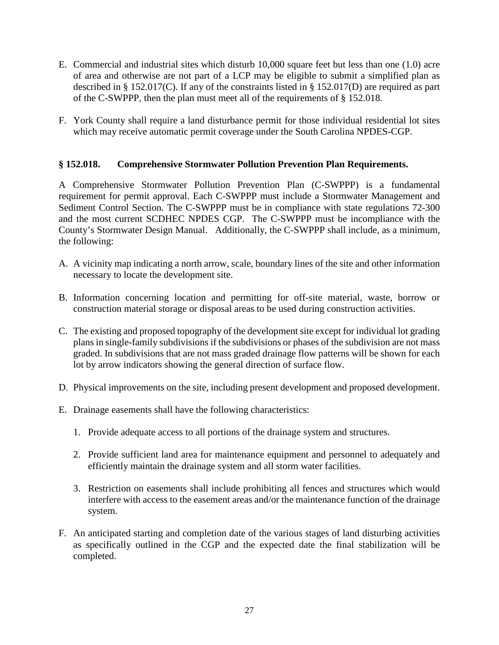- E. Commercial and industrial sites which disturb 10,000 square feet but less than one (1.0) acre of area and otherwise are not part of a LCP may be eligible to submit a simplified plan as described in § 152.017(C). If any of the constraints listed in § 152.017(D) are required as part of the C-SWPPP, then the plan must meet all of the requirements of § 152.018.
- F. York County shall require a land disturbance permit for those individual residential lot sites which may receive automatic permit coverage under the South Carolina NPDES-CGP.

### **§ 152.018. Comprehensive Stormwater Pollution Prevention Plan Requirements.**

A Comprehensive Stormwater Pollution Prevention Plan (C-SWPPP) is a fundamental requirement for permit approval. Each C-SWPPP must include a Stormwater Management and Sediment Control Section. The C-SWPPP must be in compliance with state regulations 72-300 and the most current SCDHEC NPDES CGP. The C-SWPPP must be incompliance with the County's Stormwater Design Manual. Additionally, the C-SWPPP shall include, as a minimum, the following:

- A. A vicinity map indicating a north arrow, scale, boundary lines of the site and other information necessary to locate the development site.
- B. Information concerning location and permitting for off-site material, waste, borrow or construction material storage or disposal areas to be used during construction activities.
- C. The existing and proposed topography of the development site except for individual lot grading plans in single-family subdivisions if the subdivisions or phases of the subdivision are not mass graded. In subdivisions that are not mass graded drainage flow patterns will be shown for each lot by arrow indicators showing the general direction of surface flow.
- D. Physical improvements on the site, including present development and proposed development.
- E. Drainage easements shall have the following characteristics:
	- 1. Provide adequate access to all portions of the drainage system and structures.
	- 2. Provide sufficient land area for maintenance equipment and personnel to adequately and efficiently maintain the drainage system and all storm water facilities.
	- 3. Restriction on easements shall include prohibiting all fences and structures which would interfere with access to the easement areas and/or the maintenance function of the drainage system.
- F. An anticipated starting and completion date of the various stages of land disturbing activities as specifically outlined in the CGP and the expected date the final stabilization will be completed.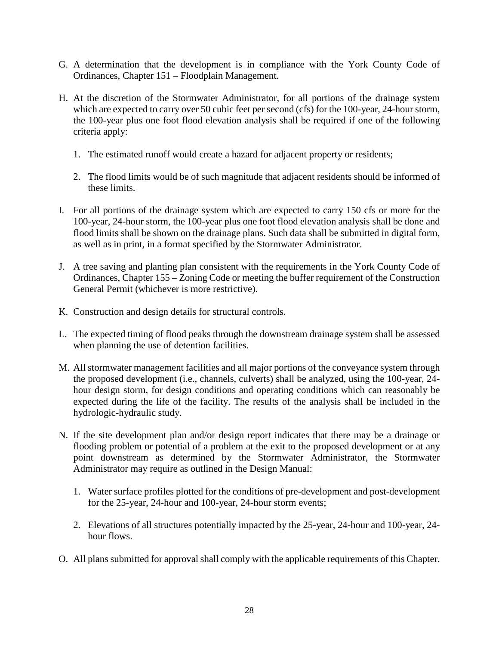- G. A determination that the development is in compliance with the York County Code of Ordinances, Chapter 151 – Floodplain Management.
- H. At the discretion of the Stormwater Administrator, for all portions of the drainage system which are expected to carry over 50 cubic feet per second (cfs) for the 100-year, 24-hour storm, the 100-year plus one foot flood elevation analysis shall be required if one of the following criteria apply:
	- 1. The estimated runoff would create a hazard for adjacent property or residents;
	- 2. The flood limits would be of such magnitude that adjacent residents should be informed of these limits.
- I. For all portions of the drainage system which are expected to carry 150 cfs or more for the 100-year, 24-hour storm, the 100-year plus one foot flood elevation analysis shall be done and flood limits shall be shown on the drainage plans. Such data shall be submitted in digital form, as well as in print, in a format specified by the Stormwater Administrator.
- J. A tree saving and planting plan consistent with the requirements in the York County Code of Ordinances, Chapter 155 – Zoning Code or meeting the buffer requirement of the Construction General Permit (whichever is more restrictive).
- K. Construction and design details for structural controls.
- L. The expected timing of flood peaks through the downstream drainage system shall be assessed when planning the use of detention facilities.
- M. All stormwater management facilities and all major portions of the conveyance system through the proposed development (i.e., channels, culverts) shall be analyzed, using the 100-year, 24 hour design storm, for design conditions and operating conditions which can reasonably be expected during the life of the facility. The results of the analysis shall be included in the hydrologic-hydraulic study.
- N. If the site development plan and/or design report indicates that there may be a drainage or flooding problem or potential of a problem at the exit to the proposed development or at any point downstream as determined by the Stormwater Administrator, the Stormwater Administrator may require as outlined in the Design Manual:
	- 1. Water surface profiles plotted for the conditions of pre-development and post-development for the 25-year, 24-hour and 100-year, 24-hour storm events;
	- 2. Elevations of all structures potentially impacted by the 25-year, 24-hour and 100-year, 24 hour flows.
- O. All plans submitted for approval shall comply with the applicable requirements of this Chapter.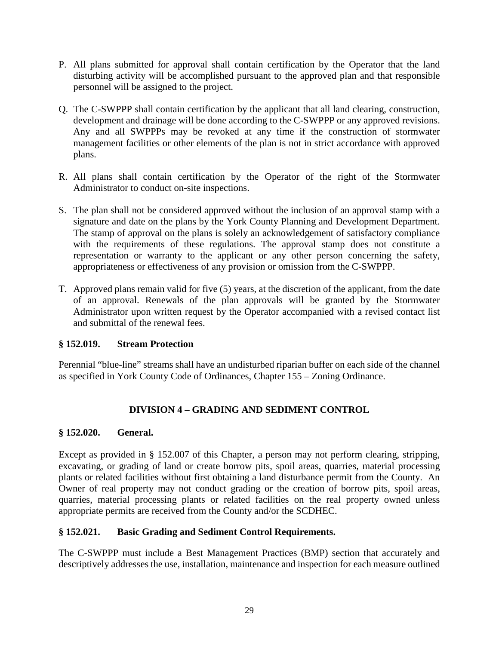- P. All plans submitted for approval shall contain certification by the Operator that the land disturbing activity will be accomplished pursuant to the approved plan and that responsible personnel will be assigned to the project.
- Q. The C-SWPPP shall contain certification by the applicant that all land clearing, construction, development and drainage will be done according to the C-SWPPP or any approved revisions. Any and all SWPPPs may be revoked at any time if the construction of stormwater management facilities or other elements of the plan is not in strict accordance with approved plans.
- R. All plans shall contain certification by the Operator of the right of the Stormwater Administrator to conduct on-site inspections.
- S. The plan shall not be considered approved without the inclusion of an approval stamp with a signature and date on the plans by the York County Planning and Development Department. The stamp of approval on the plans is solely an acknowledgement of satisfactory compliance with the requirements of these regulations. The approval stamp does not constitute a representation or warranty to the applicant or any other person concerning the safety, appropriateness or effectiveness of any provision or omission from the C-SWPPP.
- T. Approved plans remain valid for five (5) years, at the discretion of the applicant, from the date of an approval. Renewals of the plan approvals will be granted by the Stormwater Administrator upon written request by the Operator accompanied with a revised contact list and submittal of the renewal fees.

# **§ 152.019. Stream Protection**

Perennial "blue-line" streams shall have an undisturbed riparian buffer on each side of the channel as specified in York County Code of Ordinances, Chapter 155 – Zoning Ordinance.

# **DIVISION 4 – GRADING AND SEDIMENT CONTROL**

# **§ 152.020. General.**

Except as provided in § 152.007 of this Chapter, a person may not perform clearing, stripping, excavating, or grading of land or create borrow pits, spoil areas, quarries, material processing plants or related facilities without first obtaining a land disturbance permit from the County. An Owner of real property may not conduct grading or the creation of borrow pits, spoil areas, quarries, material processing plants or related facilities on the real property owned unless appropriate permits are received from the County and/or the SCDHEC.

# **§ 152.021. Basic Grading and Sediment Control Requirements.**

The C-SWPPP must include a Best Management Practices (BMP) section that accurately and descriptively addresses the use, installation, maintenance and inspection for each measure outlined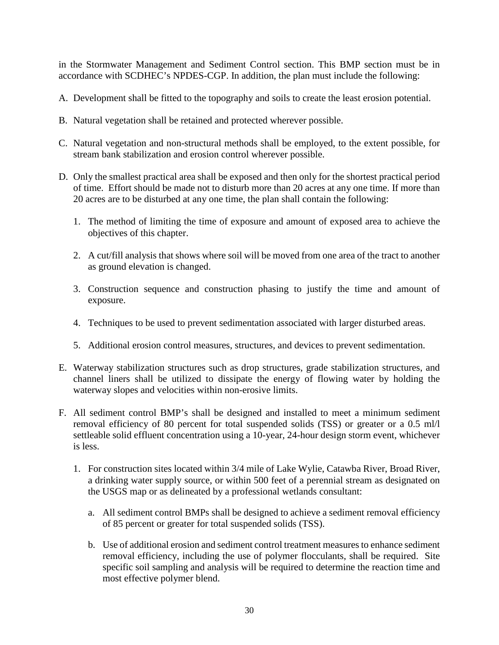in the Stormwater Management and Sediment Control section. This BMP section must be in accordance with SCDHEC's NPDES-CGP. In addition, the plan must include the following:

- A. Development shall be fitted to the topography and soils to create the least erosion potential.
- B. Natural vegetation shall be retained and protected wherever possible.
- C. Natural vegetation and non-structural methods shall be employed, to the extent possible, for stream bank stabilization and erosion control wherever possible.
- D. Only the smallest practical area shall be exposed and then only for the shortest practical period of time. Effort should be made not to disturb more than 20 acres at any one time. If more than 20 acres are to be disturbed at any one time, the plan shall contain the following:
	- 1. The method of limiting the time of exposure and amount of exposed area to achieve the objectives of this chapter.
	- 2. A cut/fill analysis that shows where soil will be moved from one area of the tract to another as ground elevation is changed.
	- 3. Construction sequence and construction phasing to justify the time and amount of exposure.
	- 4. Techniques to be used to prevent sedimentation associated with larger disturbed areas.
	- 5. Additional erosion control measures, structures, and devices to prevent sedimentation.
- E. Waterway stabilization structures such as drop structures, grade stabilization structures, and channel liners shall be utilized to dissipate the energy of flowing water by holding the waterway slopes and velocities within non-erosive limits.
- F. All sediment control BMP's shall be designed and installed to meet a minimum sediment removal efficiency of 80 percent for total suspended solids (TSS) or greater or a 0.5 ml/l settleable solid effluent concentration using a 10-year, 24-hour design storm event, whichever is less.
	- 1. For construction sites located within 3/4 mile of Lake Wylie, Catawba River, Broad River, a drinking water supply source, or within 500 feet of a perennial stream as designated on the USGS map or as delineated by a professional wetlands consultant:
		- a. All sediment control BMPs shall be designed to achieve a sediment removal efficiency of 85 percent or greater for total suspended solids (TSS).
		- b. Use of additional erosion and sediment control treatment measures to enhance sediment removal efficiency, including the use of polymer flocculants, shall be required. Site specific soil sampling and analysis will be required to determine the reaction time and most effective polymer blend.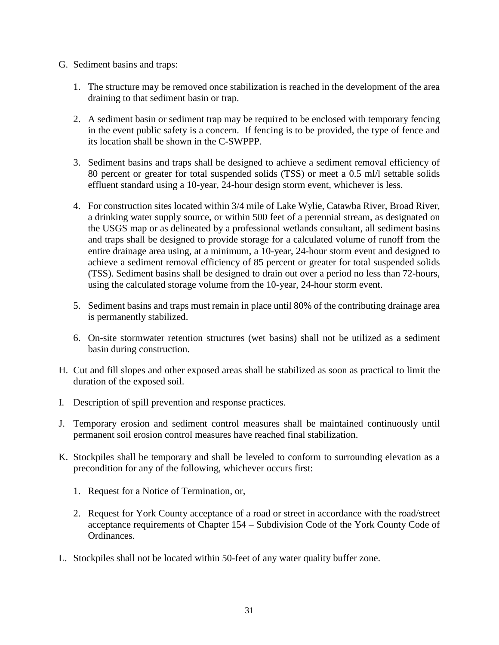- G. Sediment basins and traps:
	- 1. The structure may be removed once stabilization is reached in the development of the area draining to that sediment basin or trap.
	- 2. A sediment basin or sediment trap may be required to be enclosed with temporary fencing in the event public safety is a concern. If fencing is to be provided, the type of fence and its location shall be shown in the C-SWPPP.
	- 3. Sediment basins and traps shall be designed to achieve a sediment removal efficiency of 80 percent or greater for total suspended solids (TSS) or meet a 0.5 ml/l settable solids effluent standard using a 10-year, 24-hour design storm event, whichever is less.
	- 4. For construction sites located within 3/4 mile of Lake Wylie, Catawba River, Broad River, a drinking water supply source, or within 500 feet of a perennial stream, as designated on the USGS map or as delineated by a professional wetlands consultant, all sediment basins and traps shall be designed to provide storage for a calculated volume of runoff from the entire drainage area using, at a minimum, a 10-year, 24-hour storm event and designed to achieve a sediment removal efficiency of 85 percent or greater for total suspended solids (TSS). Sediment basins shall be designed to drain out over a period no less than 72-hours, using the calculated storage volume from the 10-year, 24-hour storm event.
	- 5. Sediment basins and traps must remain in place until 80% of the contributing drainage area is permanently stabilized.
	- 6. On-site stormwater retention structures (wet basins) shall not be utilized as a sediment basin during construction.
- H. Cut and fill slopes and other exposed areas shall be stabilized as soon as practical to limit the duration of the exposed soil.
- I. Description of spill prevention and response practices.
- J. Temporary erosion and sediment control measures shall be maintained continuously until permanent soil erosion control measures have reached final stabilization.
- K. Stockpiles shall be temporary and shall be leveled to conform to surrounding elevation as a precondition for any of the following, whichever occurs first:
	- 1. Request for a Notice of Termination, or,
	- 2. Request for York County acceptance of a road or street in accordance with the road/street acceptance requirements of Chapter 154 – Subdivision Code of the York County Code of Ordinances.
- L. Stockpiles shall not be located within 50-feet of any water quality buffer zone.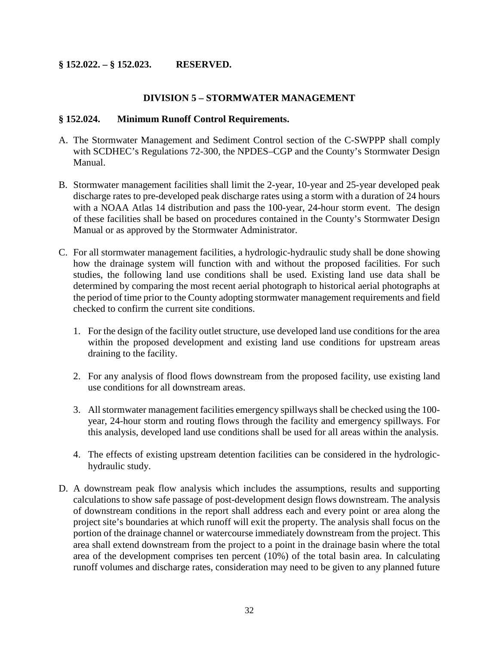### **§ 152.022. – § 152.023. RESERVED.**

#### **DIVISION 5 – STORMWATER MANAGEMENT**

#### **§ 152.024. Minimum Runoff Control Requirements.**

- A. The Stormwater Management and Sediment Control section of the C-SWPPP shall comply with SCDHEC's Regulations 72-300, the NPDES–CGP and the County's Stormwater Design Manual.
- B. Stormwater management facilities shall limit the 2-year, 10-year and 25-year developed peak discharge rates to pre-developed peak discharge rates using a storm with a duration of 24 hours with a NOAA Atlas 14 distribution and pass the 100-year, 24-hour storm event. The design of these facilities shall be based on procedures contained in the County's Stormwater Design Manual or as approved by the Stormwater Administrator.
- C. For all stormwater management facilities, a hydrologic-hydraulic study shall be done showing how the drainage system will function with and without the proposed facilities. For such studies, the following land use conditions shall be used. Existing land use data shall be determined by comparing the most recent aerial photograph to historical aerial photographs at the period of time prior to the County adopting stormwater management requirements and field checked to confirm the current site conditions.
	- 1. For the design of the facility outlet structure, use developed land use conditions for the area within the proposed development and existing land use conditions for upstream areas draining to the facility.
	- 2. For any analysis of flood flows downstream from the proposed facility, use existing land use conditions for all downstream areas.
	- 3. All stormwater management facilities emergency spillways shall be checked using the 100 year, 24-hour storm and routing flows through the facility and emergency spillways. For this analysis, developed land use conditions shall be used for all areas within the analysis.
	- 4. The effects of existing upstream detention facilities can be considered in the hydrologichydraulic study.
- D. A downstream peak flow analysis which includes the assumptions, results and supporting calculations to show safe passage of post-development design flows downstream. The analysis of downstream conditions in the report shall address each and every point or area along the project site's boundaries at which runoff will exit the property. The analysis shall focus on the portion of the drainage channel or watercourse immediately downstream from the project. This area shall extend downstream from the project to a point in the drainage basin where the total area of the development comprises ten percent (10%) of the total basin area. In calculating runoff volumes and discharge rates, consideration may need to be given to any planned future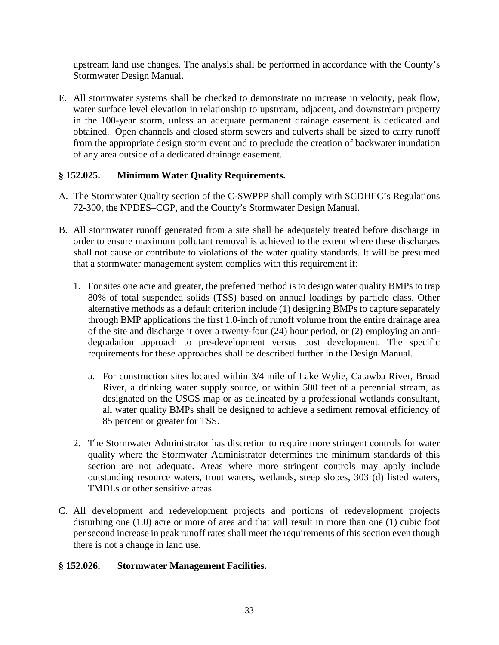upstream land use changes. The analysis shall be performed in accordance with the County's Stormwater Design Manual.

E. All stormwater systems shall be checked to demonstrate no increase in velocity, peak flow, water surface level elevation in relationship to upstream, adjacent, and downstream property in the 100-year storm, unless an adequate permanent drainage easement is dedicated and obtained. Open channels and closed storm sewers and culverts shall be sized to carry runoff from the appropriate design storm event and to preclude the creation of backwater inundation of any area outside of a dedicated drainage easement.

# **§ 152.025. Minimum Water Quality Requirements.**

- A. The Stormwater Quality section of the C-SWPPP shall comply with SCDHEC's Regulations 72-300, the NPDES–CGP, and the County's Stormwater Design Manual.
- B. All stormwater runoff generated from a site shall be adequately treated before discharge in order to ensure maximum pollutant removal is achieved to the extent where these discharges shall not cause or contribute to violations of the water quality standards. It will be presumed that a stormwater management system complies with this requirement if:
	- 1. For sites one acre and greater, the preferred method is to design water quality BMPs to trap 80% of total suspended solids (TSS) based on annual loadings by particle class. Other alternative methods as a default criterion include (1) designing BMPs to capture separately through BMP applications the first 1.0-inch of runoff volume from the entire drainage area of the site and discharge it over a twenty-four (24) hour period, or (2) employing an antidegradation approach to pre-development versus post development. The specific requirements for these approaches shall be described further in the Design Manual.
		- a. For construction sites located within 3/4 mile of Lake Wylie, Catawba River, Broad River, a drinking water supply source, or within 500 feet of a perennial stream, as designated on the USGS map or as delineated by a professional wetlands consultant, all water quality BMPs shall be designed to achieve a sediment removal efficiency of 85 percent or greater for TSS.
	- 2. The Stormwater Administrator has discretion to require more stringent controls for water quality where the Stormwater Administrator determines the minimum standards of this section are not adequate. Areas where more stringent controls may apply include outstanding resource waters, trout waters, wetlands, steep slopes, 303 (d) listed waters, TMDLs or other sensitive areas.
- C. All development and redevelopment projects and portions of redevelopment projects disturbing one (1.0) acre or more of area and that will result in more than one (1) cubic foot per second increase in peak runoff rates shall meet the requirements of this section even though there is not a change in land use.

# **§ 152.026. Stormwater Management Facilities.**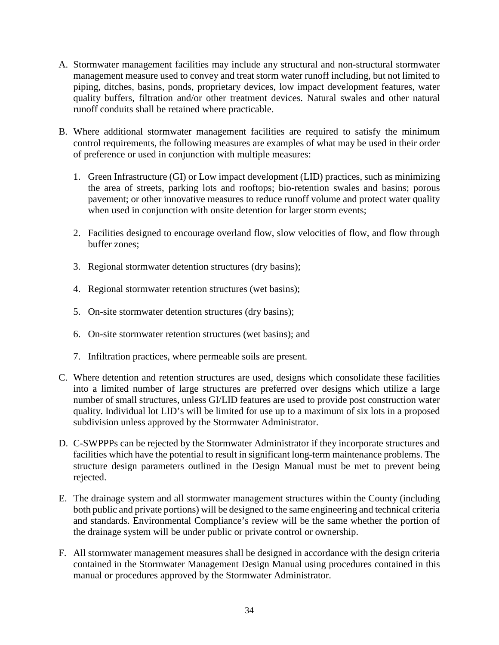- A. Stormwater management facilities may include any structural and non-structural stormwater management measure used to convey and treat storm water runoff including, but not limited to piping, ditches, basins, ponds, proprietary devices, low impact development features, water quality buffers, filtration and/or other treatment devices. Natural swales and other natural runoff conduits shall be retained where practicable.
- B. Where additional stormwater management facilities are required to satisfy the minimum control requirements, the following measures are examples of what may be used in their order of preference or used in conjunction with multiple measures:
	- 1. Green Infrastructure (GI) or Low impact development (LID) practices, such as minimizing the area of streets, parking lots and rooftops; bio-retention swales and basins; porous pavement; or other innovative measures to reduce runoff volume and protect water quality when used in conjunction with onsite detention for larger storm events;
	- 2. Facilities designed to encourage overland flow, slow velocities of flow, and flow through buffer zones;
	- 3. Regional stormwater detention structures (dry basins);
	- 4. Regional stormwater retention structures (wet basins);
	- 5. On-site stormwater detention structures (dry basins);
	- 6. On-site stormwater retention structures (wet basins); and
	- 7. Infiltration practices, where permeable soils are present.
- C. Where detention and retention structures are used, designs which consolidate these facilities into a limited number of large structures are preferred over designs which utilize a large number of small structures, unless GI/LID features are used to provide post construction water quality. Individual lot LID's will be limited for use up to a maximum of six lots in a proposed subdivision unless approved by the Stormwater Administrator.
- D. C-SWPPPs can be rejected by the Stormwater Administrator if they incorporate structures and facilities which have the potential to result in significant long-term maintenance problems. The structure design parameters outlined in the Design Manual must be met to prevent being rejected.
- E. The drainage system and all stormwater management structures within the County (including both public and private portions) will be designed to the same engineering and technical criteria and standards. Environmental Compliance's review will be the same whether the portion of the drainage system will be under public or private control or ownership.
- F. All stormwater management measures shall be designed in accordance with the design criteria contained in the Stormwater Management Design Manual using procedures contained in this manual or procedures approved by the Stormwater Administrator.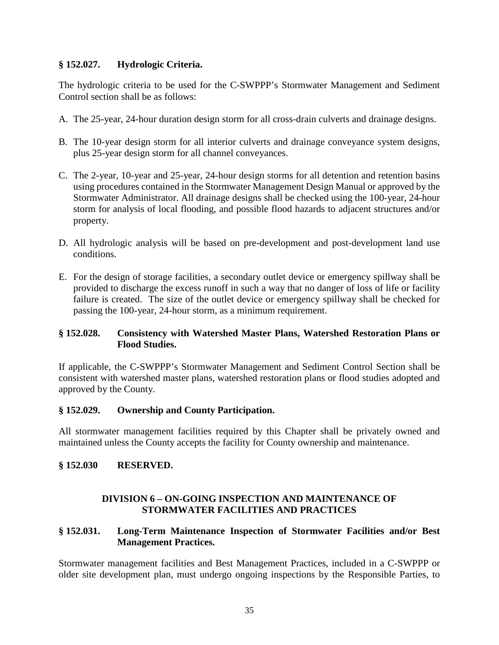### **§ 152.027. Hydrologic Criteria.**

The hydrologic criteria to be used for the C-SWPPP's Stormwater Management and Sediment Control section shall be as follows:

- A. The 25-year, 24-hour duration design storm for all cross-drain culverts and drainage designs.
- B. The 10-year design storm for all interior culverts and drainage conveyance system designs, plus 25-year design storm for all channel conveyances.
- C. The 2-year, 10-year and 25-year, 24-hour design storms for all detention and retention basins using procedures contained in the Stormwater Management Design Manual or approved by the Stormwater Administrator. All drainage designs shall be checked using the 100-year, 24-hour storm for analysis of local flooding, and possible flood hazards to adjacent structures and/or property.
- D. All hydrologic analysis will be based on pre-development and post-development land use conditions.
- E. For the design of storage facilities, a secondary outlet device or emergency spillway shall be provided to discharge the excess runoff in such a way that no danger of loss of life or facility failure is created. The size of the outlet device or emergency spillway shall be checked for passing the 100-year, 24-hour storm, as a minimum requirement.

### **§ 152.028. Consistency with Watershed Master Plans, Watershed Restoration Plans or Flood Studies.**

If applicable, the C-SWPPP's Stormwater Management and Sediment Control Section shall be consistent with watershed master plans, watershed restoration plans or flood studies adopted and approved by the County.

#### **§ 152.029. Ownership and County Participation.**

All stormwater management facilities required by this Chapter shall be privately owned and maintained unless the County accepts the facility for County ownership and maintenance.

#### **§ 152.030 RESERVED.**

#### **DIVISION 6 – ON-GOING INSPECTION AND MAINTENANCE OF STORMWATER FACILITIES AND PRACTICES**

# **§ 152.031. Long-Term Maintenance Inspection of Stormwater Facilities and/or Best Management Practices.**

Stormwater management facilities and Best Management Practices, included in a C-SWPPP or older site development plan, must undergo ongoing inspections by the Responsible Parties, to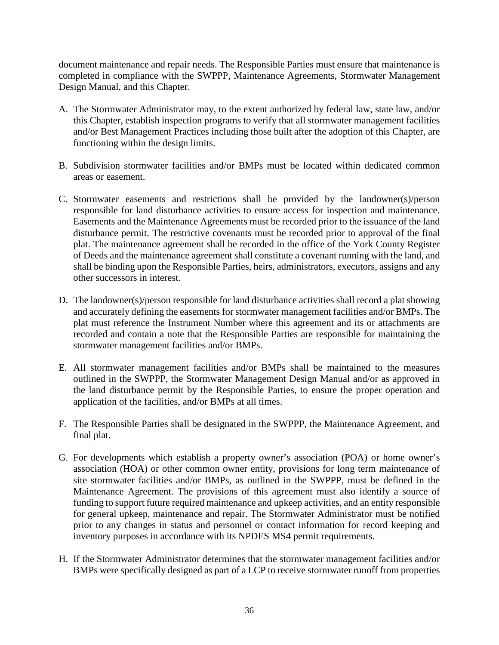document maintenance and repair needs. The Responsible Parties must ensure that maintenance is completed in compliance with the SWPPP, Maintenance Agreements, Stormwater Management Design Manual, and this Chapter.

- A. The Stormwater Administrator may, to the extent authorized by federal law, state law, and/or this Chapter, establish inspection programs to verify that all stormwater management facilities and/or Best Management Practices including those built after the adoption of this Chapter, are functioning within the design limits.
- B. Subdivision stormwater facilities and/or BMPs must be located within dedicated common areas or easement.
- C. Stormwater easements and restrictions shall be provided by the landowner(s)/person responsible for land disturbance activities to ensure access for inspection and maintenance. Easements and the Maintenance Agreements must be recorded prior to the issuance of the land disturbance permit. The restrictive covenants must be recorded prior to approval of the final plat. The maintenance agreement shall be recorded in the office of the York County Register of Deeds and the maintenance agreement shall constitute a covenant running with the land, and shall be binding upon the Responsible Parties, heirs, administrators, executors, assigns and any other successors in interest.
- D. The landowner(s)/person responsible for land disturbance activities shall record a plat showing and accurately defining the easements for stormwater management facilities and/or BMPs. The plat must reference the Instrument Number where this agreement and its or attachments are recorded and contain a note that the Responsible Parties are responsible for maintaining the stormwater management facilities and/or BMPs.
- E. All stormwater management facilities and/or BMPs shall be maintained to the measures outlined in the SWPPP, the Stormwater Management Design Manual and/or as approved in the land disturbance permit by the Responsible Parties, to ensure the proper operation and application of the facilities, and/or BMPs at all times.
- F. The Responsible Parties shall be designated in the SWPPP, the Maintenance Agreement, and final plat.
- G. For developments which establish a property owner's association (POA) or home owner's association (HOA) or other common owner entity, provisions for long term maintenance of site stormwater facilities and/or BMPs, as outlined in the SWPPP, must be defined in the Maintenance Agreement. The provisions of this agreement must also identify a source of funding to support future required maintenance and upkeep activities, and an entity responsible for general upkeep, maintenance and repair. The Stormwater Administrator must be notified prior to any changes in status and personnel or contact information for record keeping and inventory purposes in accordance with its NPDES MS4 permit requirements.
- H. If the Stormwater Administrator determines that the stormwater management facilities and/or BMPs were specifically designed as part of a LCP to receive stormwater runoff from properties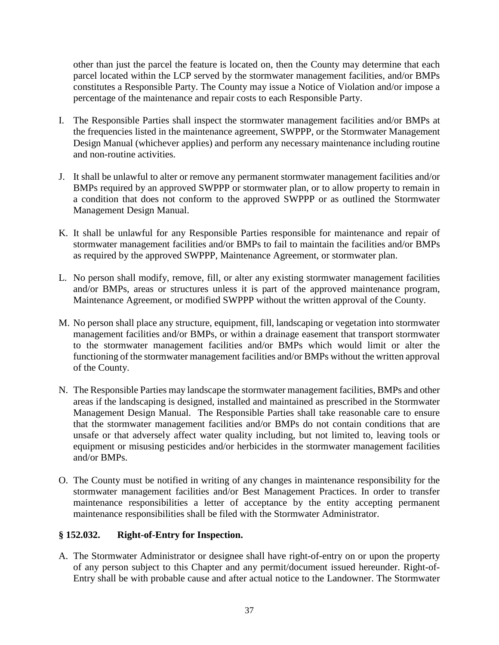other than just the parcel the feature is located on, then the County may determine that each parcel located within the LCP served by the stormwater management facilities, and/or BMPs constitutes a Responsible Party. The County may issue a Notice of Violation and/or impose a percentage of the maintenance and repair costs to each Responsible Party.

- I. The Responsible Parties shall inspect the stormwater management facilities and/or BMPs at the frequencies listed in the maintenance agreement, SWPPP, or the Stormwater Management Design Manual (whichever applies) and perform any necessary maintenance including routine and non-routine activities.
- J. It shall be unlawful to alter or remove any permanent stormwater management facilities and/or BMPs required by an approved SWPPP or stormwater plan, or to allow property to remain in a condition that does not conform to the approved SWPPP or as outlined the Stormwater Management Design Manual.
- K. It shall be unlawful for any Responsible Parties responsible for maintenance and repair of stormwater management facilities and/or BMPs to fail to maintain the facilities and/or BMPs as required by the approved SWPPP, Maintenance Agreement, or stormwater plan.
- L. No person shall modify, remove, fill, or alter any existing stormwater management facilities and/or BMPs, areas or structures unless it is part of the approved maintenance program, Maintenance Agreement, or modified SWPPP without the written approval of the County.
- M. No person shall place any structure, equipment, fill, landscaping or vegetation into stormwater management facilities and/or BMPs, or within a drainage easement that transport stormwater to the stormwater management facilities and/or BMPs which would limit or alter the functioning of the stormwater management facilities and/or BMPs without the written approval of the County.
- N. The Responsible Parties may landscape the stormwater management facilities, BMPs and other areas if the landscaping is designed, installed and maintained as prescribed in the Stormwater Management Design Manual. The Responsible Parties shall take reasonable care to ensure that the stormwater management facilities and/or BMPs do not contain conditions that are unsafe or that adversely affect water quality including, but not limited to, leaving tools or equipment or misusing pesticides and/or herbicides in the stormwater management facilities and/or BMPs.
- O. The County must be notified in writing of any changes in maintenance responsibility for the stormwater management facilities and/or Best Management Practices. In order to transfer maintenance responsibilities a letter of acceptance by the entity accepting permanent maintenance responsibilities shall be filed with the Stormwater Administrator.

# **§ 152.032. Right-of-Entry for Inspection.**

A. The Stormwater Administrator or designee shall have right-of-entry on or upon the property of any person subject to this Chapter and any permit/document issued hereunder. Right-of-Entry shall be with probable cause and after actual notice to the Landowner. The Stormwater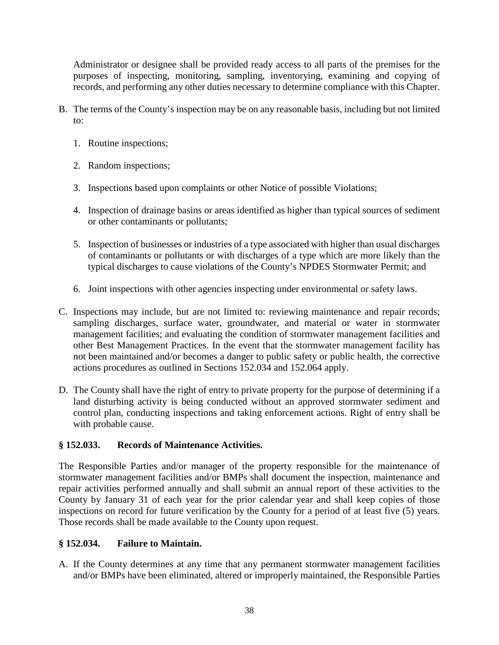Administrator or designee shall be provided ready access to all parts of the premises for the purposes of inspecting, monitoring, sampling, inventorying, examining and copying of records, and performing any other duties necessary to determine compliance with this Chapter.

- B. The terms of the County's inspection may be on any reasonable basis, including but not limited to:
	- 1. Routine inspections;
	- 2. Random inspections;
	- 3. Inspections based upon complaints or other Notice of possible Violations;
	- 4. Inspection of drainage basins or areas identified as higher than typical sources of sediment or other contaminants or pollutants;
	- 5. Inspection of businesses or industries of a type associated with higher than usual discharges of contaminants or pollutants or with discharges of a type which are more likely than the typical discharges to cause violations of the County's NPDES Stormwater Permit; and
	- 6. Joint inspections with other agencies inspecting under environmental or safety laws.
- C. Inspections may include, but are not limited to: reviewing maintenance and repair records; sampling discharges, surface water, groundwater, and material or water in stormwater management facilities; and evaluating the condition of stormwater management facilities and other Best Management Practices. In the event that the stormwater management facility has not been maintained and/or becomes a danger to public safety or public health, the corrective actions procedures as outlined in Sections 152.034 and 152.064 apply.
- D. The County shall have the right of entry to private property for the purpose of determining if a land disturbing activity is being conducted without an approved stormwater sediment and control plan, conducting inspections and taking enforcement actions. Right of entry shall be with probable cause.

# **§ 152.033. Records of Maintenance Activities.**

The Responsible Parties and/or manager of the property responsible for the maintenance of stormwater management facilities and/or BMPs shall document the inspection, maintenance and repair activities performed annually and shall submit an annual report of these activities to the County by January 31 of each year for the prior calendar year and shall keep copies of those inspections on record for future verification by the County for a period of at least five (5) years. Those records shall be made available to the County upon request.

# **§ 152.034. Failure to Maintain.**

A. If the County determines at any time that any permanent stormwater management facilities and/or BMPs have been eliminated, altered or improperly maintained, the Responsible Parties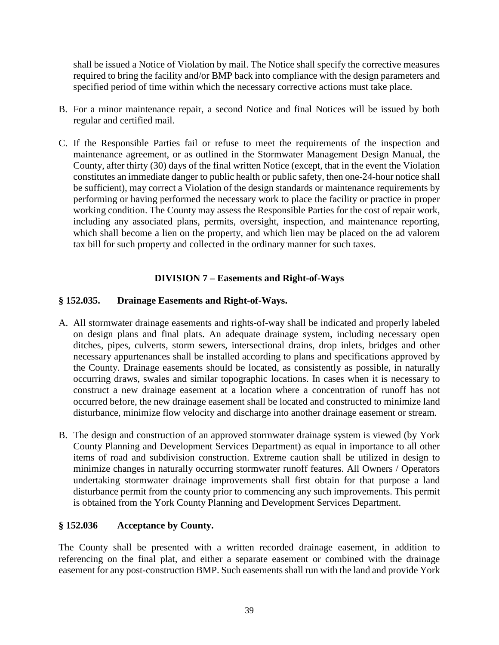shall be issued a Notice of Violation by mail. The Notice shall specify the corrective measures required to bring the facility and/or BMP back into compliance with the design parameters and specified period of time within which the necessary corrective actions must take place.

- B. For a minor maintenance repair, a second Notice and final Notices will be issued by both regular and certified mail.
- C. If the Responsible Parties fail or refuse to meet the requirements of the inspection and maintenance agreement, or as outlined in the Stormwater Management Design Manual, the County, after thirty (30) days of the final written Notice (except, that in the event the Violation constitutes an immediate danger to public health or public safety, then one-24-hour notice shall be sufficient), may correct a Violation of the design standards or maintenance requirements by performing or having performed the necessary work to place the facility or practice in proper working condition. The County may assess the Responsible Parties for the cost of repair work, including any associated plans, permits, oversight, inspection, and maintenance reporting, which shall become a lien on the property, and which lien may be placed on the ad valorem tax bill for such property and collected in the ordinary manner for such taxes.

# **DIVISION 7 – Easements and Right-of-Ways**

### **§ 152.035. Drainage Easements and Right-of-Ways.**

- A. All stormwater drainage easements and rights-of-way shall be indicated and properly labeled on design plans and final plats. An adequate drainage system, including necessary open ditches, pipes, culverts, storm sewers, intersectional drains, drop inlets, bridges and other necessary appurtenances shall be installed according to plans and specifications approved by the County. Drainage easements should be located, as consistently as possible, in naturally occurring draws, swales and similar topographic locations. In cases when it is necessary to construct a new drainage easement at a location where a concentration of runoff has not occurred before, the new drainage easement shall be located and constructed to minimize land disturbance, minimize flow velocity and discharge into another drainage easement or stream.
- B. The design and construction of an approved stormwater drainage system is viewed (by York County Planning and Development Services Department) as equal in importance to all other items of road and subdivision construction. Extreme caution shall be utilized in design to minimize changes in naturally occurring stormwater runoff features. All Owners / Operators undertaking stormwater drainage improvements shall first obtain for that purpose a land disturbance permit from the county prior to commencing any such improvements. This permit is obtained from the York County Planning and Development Services Department.

# **§ 152.036 Acceptance by County.**

The County shall be presented with a written recorded drainage easement, in addition to referencing on the final plat, and either a separate easement or combined with the drainage easement for any post-construction BMP. Such easements shall run with the land and provide York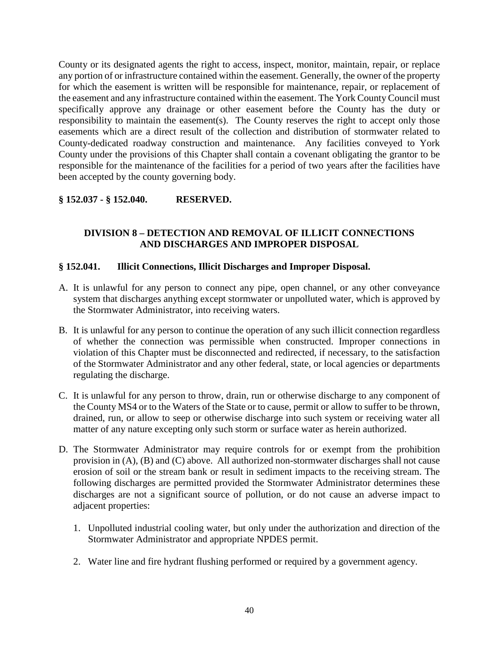County or its designated agents the right to access, inspect, monitor, maintain, repair, or replace any portion of or infrastructure contained within the easement. Generally, the owner of the property for which the easement is written will be responsible for maintenance, repair, or replacement of the easement and any infrastructure contained within the easement. The York County Council must specifically approve any drainage or other easement before the County has the duty or responsibility to maintain the easement(s). The County reserves the right to accept only those easements which are a direct result of the collection and distribution of stormwater related to County-dedicated roadway construction and maintenance. Any facilities conveyed to York County under the provisions of this Chapter shall contain a covenant obligating the grantor to be responsible for the maintenance of the facilities for a period of two years after the facilities have been accepted by the county governing body.

# **§ 152.037 - § 152.040. RESERVED.**

# **DIVISION 8 – DETECTION AND REMOVAL OF ILLICIT CONNECTIONS AND DISCHARGES AND IMPROPER DISPOSAL**

### **§ 152.041. Illicit Connections, Illicit Discharges and Improper Disposal.**

- A. It is unlawful for any person to connect any pipe, open channel, or any other conveyance system that discharges anything except stormwater or unpolluted water, which is approved by the Stormwater Administrator, into receiving waters.
- B. It is unlawful for any person to continue the operation of any such illicit connection regardless of whether the connection was permissible when constructed. Improper connections in violation of this Chapter must be disconnected and redirected, if necessary, to the satisfaction of the Stormwater Administrator and any other federal, state, or local agencies or departments regulating the discharge.
- C. It is unlawful for any person to throw, drain, run or otherwise discharge to any component of the County MS4 or to the Waters of the State or to cause, permit or allow to suffer to be thrown, drained, run, or allow to seep or otherwise discharge into such system or receiving water all matter of any nature excepting only such storm or surface water as herein authorized.
- D. The Stormwater Administrator may require controls for or exempt from the prohibition provision in (A), (B) and (C) above. All authorized non-stormwater discharges shall not cause erosion of soil or the stream bank or result in sediment impacts to the receiving stream. The following discharges are permitted provided the Stormwater Administrator determines these discharges are not a significant source of pollution, or do not cause an adverse impact to adjacent properties:
	- 1. Unpolluted industrial cooling water, but only under the authorization and direction of the Stormwater Administrator and appropriate NPDES permit.
	- 2. Water line and fire hydrant flushing performed or required by a government agency.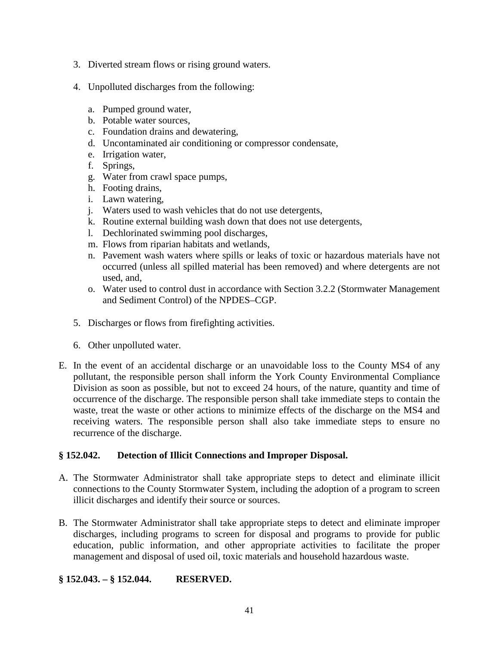- 3. Diverted stream flows or rising ground waters.
- 4. Unpolluted discharges from the following:
	- a. Pumped ground water,
	- b. Potable water sources,
	- c. Foundation drains and dewatering,
	- d. Uncontaminated air conditioning or compressor condensate,
	- e. Irrigation water,
	- f. Springs,
	- g. Water from crawl space pumps,
	- h. Footing drains,
	- i. Lawn watering,
	- j. Waters used to wash vehicles that do not use detergents,
	- k. Routine external building wash down that does not use detergents,
	- l. Dechlorinated swimming pool discharges,
	- m. Flows from riparian habitats and wetlands,
	- n. Pavement wash waters where spills or leaks of toxic or hazardous materials have not occurred (unless all spilled material has been removed) and where detergents are not used, and,
	- o. Water used to control dust in accordance with Section 3.2.2 (Stormwater Management and Sediment Control) of the NPDES–CGP.
- 5. Discharges or flows from firefighting activities.
- 6. Other unpolluted water.
- E. In the event of an accidental discharge or an unavoidable loss to the County MS4 of any pollutant, the responsible person shall inform the York County Environmental Compliance Division as soon as possible, but not to exceed 24 hours, of the nature, quantity and time of occurrence of the discharge. The responsible person shall take immediate steps to contain the waste, treat the waste or other actions to minimize effects of the discharge on the MS4 and receiving waters. The responsible person shall also take immediate steps to ensure no recurrence of the discharge.

#### **§ 152.042. Detection of Illicit Connections and Improper Disposal.**

- A. The Stormwater Administrator shall take appropriate steps to detect and eliminate illicit connections to the County Stormwater System, including the adoption of a program to screen illicit discharges and identify their source or sources.
- B. The Stormwater Administrator shall take appropriate steps to detect and eliminate improper discharges, including programs to screen for disposal and programs to provide for public education, public information, and other appropriate activities to facilitate the proper management and disposal of used oil, toxic materials and household hazardous waste.

# **§ 152.043. – § 152.044. RESERVED.**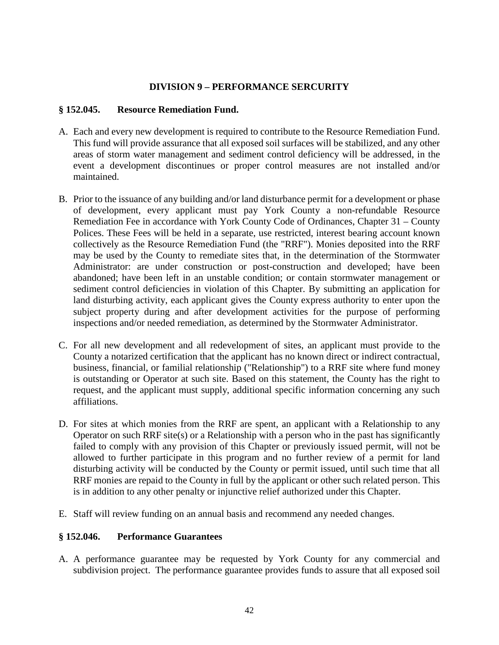### **DIVISION 9 – PERFORMANCE SERCURITY**

#### **§ 152.045. Resource Remediation Fund.**

- A. Each and every new development is required to contribute to the Resource Remediation Fund. This fund will provide assurance that all exposed soil surfaces will be stabilized, and any other areas of storm water management and sediment control deficiency will be addressed, in the event a development discontinues or proper control measures are not installed and/or maintained.
- B. Prior to the issuance of any building and/or land disturbance permit for a development or phase of development, every applicant must pay York County a non-refundable Resource Remediation Fee in accordance with York County Code of Ordinances, Chapter 31 – County Polices. These Fees will be held in a separate, use restricted, interest bearing account known collectively as the Resource Remediation Fund (the "RRF"). Monies deposited into the RRF may be used by the County to remediate sites that, in the determination of the Stormwater Administrator: are under construction or post-construction and developed; have been abandoned; have been left in an unstable condition; or contain stormwater management or sediment control deficiencies in violation of this Chapter. By submitting an application for land disturbing activity, each applicant gives the County express authority to enter upon the subject property during and after development activities for the purpose of performing inspections and/or needed remediation, as determined by the Stormwater Administrator.
- C. For all new development and all redevelopment of sites, an applicant must provide to the County a notarized certification that the applicant has no known direct or indirect contractual, business, financial, or familial relationship ("Relationship") to a RRF site where fund money is outstanding or Operator at such site. Based on this statement, the County has the right to request, and the applicant must supply, additional specific information concerning any such affiliations.
- D. For sites at which monies from the RRF are spent, an applicant with a Relationship to any Operator on such RRF site(s) or a Relationship with a person who in the past has significantly failed to comply with any provision of this Chapter or previously issued permit, will not be allowed to further participate in this program and no further review of a permit for land disturbing activity will be conducted by the County or permit issued, until such time that all RRF monies are repaid to the County in full by the applicant or other such related person. This is in addition to any other penalty or injunctive relief authorized under this Chapter.
- E. Staff will review funding on an annual basis and recommend any needed changes.

#### **§ 152.046. Performance Guarantees**

A. A performance guarantee may be requested by York County for any commercial and subdivision project. The performance guarantee provides funds to assure that all exposed soil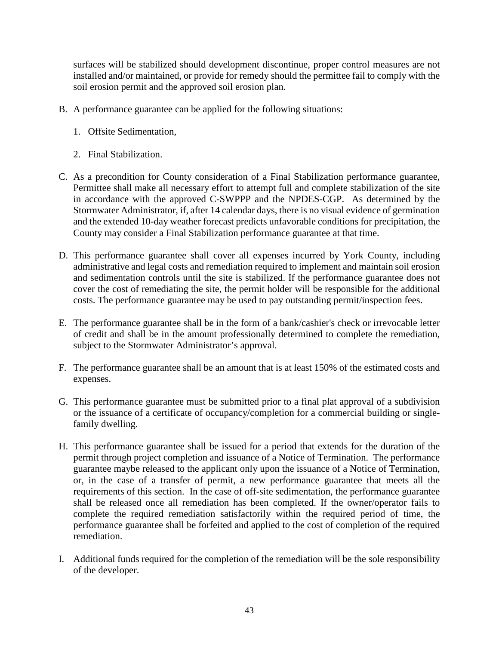surfaces will be stabilized should development discontinue, proper control measures are not installed and/or maintained, or provide for remedy should the permittee fail to comply with the soil erosion permit and the approved soil erosion plan.

- B. A performance guarantee can be applied for the following situations:
	- 1. Offsite Sedimentation,
	- 2. Final Stabilization.
- C. As a precondition for County consideration of a Final Stabilization performance guarantee, Permittee shall make all necessary effort to attempt full and complete stabilization of the site in accordance with the approved C-SWPPP and the NPDES-CGP. As determined by the Stormwater Administrator, if, after 14 calendar days, there is no visual evidence of germination and the extended 10-day weather forecast predicts unfavorable conditions for precipitation, the County may consider a Final Stabilization performance guarantee at that time.
- D. This performance guarantee shall cover all expenses incurred by York County, including administrative and legal costs and remediation required to implement and maintain soil erosion and sedimentation controls until the site is stabilized. If the performance guarantee does not cover the cost of remediating the site, the permit holder will be responsible for the additional costs. The performance guarantee may be used to pay outstanding permit/inspection fees.
- E. The performance guarantee shall be in the form of a bank/cashier's check or irrevocable letter of credit and shall be in the amount professionally determined to complete the remediation, subject to the Stormwater Administrator's approval.
- F. The performance guarantee shall be an amount that is at least 150% of the estimated costs and expenses.
- G. This performance guarantee must be submitted prior to a final plat approval of a subdivision or the issuance of a certificate of occupancy/completion for a commercial building or singlefamily dwelling.
- H. This performance guarantee shall be issued for a period that extends for the duration of the permit through project completion and issuance of a Notice of Termination. The performance guarantee maybe released to the applicant only upon the issuance of a Notice of Termination, or, in the case of a transfer of permit, a new performance guarantee that meets all the requirements of this section. In the case of off-site sedimentation, the performance guarantee shall be released once all remediation has been completed. If the owner/operator fails to complete the required remediation satisfactorily within the required period of time, the performance guarantee shall be forfeited and applied to the cost of completion of the required remediation.
- I. Additional funds required for the completion of the remediation will be the sole responsibility of the developer.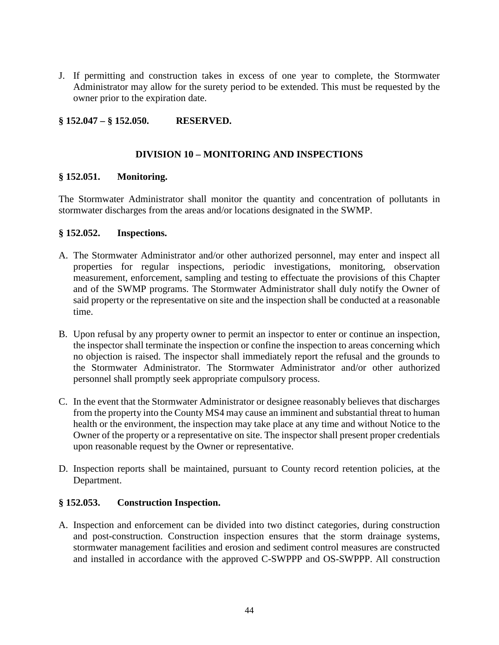J. If permitting and construction takes in excess of one year to complete, the Stormwater Administrator may allow for the surety period to be extended. This must be requested by the owner prior to the expiration date.

# **§ 152.047 – § 152.050. RESERVED.**

### **DIVISION 10 – MONITORING AND INSPECTIONS**

### **§ 152.051. Monitoring.**

The Stormwater Administrator shall monitor the quantity and concentration of pollutants in stormwater discharges from the areas and/or locations designated in the SWMP.

### **§ 152.052. Inspections.**

- A. The Stormwater Administrator and/or other authorized personnel, may enter and inspect all properties for regular inspections, periodic investigations, monitoring, observation measurement, enforcement, sampling and testing to effectuate the provisions of this Chapter and of the SWMP programs. The Stormwater Administrator shall duly notify the Owner of said property or the representative on site and the inspection shall be conducted at a reasonable time.
- B. Upon refusal by any property owner to permit an inspector to enter or continue an inspection, the inspector shall terminate the inspection or confine the inspection to areas concerning which no objection is raised. The inspector shall immediately report the refusal and the grounds to the Stormwater Administrator. The Stormwater Administrator and/or other authorized personnel shall promptly seek appropriate compulsory process.
- C. In the event that the Stormwater Administrator or designee reasonably believes that discharges from the property into the County MS4 may cause an imminent and substantial threat to human health or the environment, the inspection may take place at any time and without Notice to the Owner of the property or a representative on site. The inspector shall present proper credentials upon reasonable request by the Owner or representative.
- D. Inspection reports shall be maintained, pursuant to County record retention policies, at the Department.

# **§ 152.053. Construction Inspection.**

A. Inspection and enforcement can be divided into two distinct categories, during construction and post-construction. Construction inspection ensures that the storm drainage systems, stormwater management facilities and erosion and sediment control measures are constructed and installed in accordance with the approved C-SWPPP and OS-SWPPP. All construction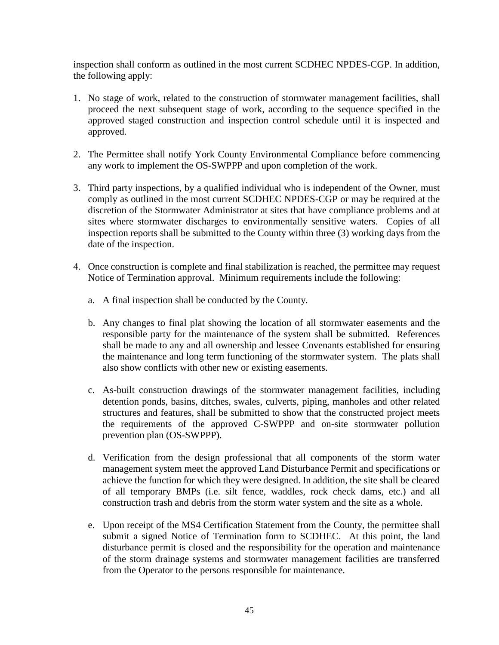inspection shall conform as outlined in the most current SCDHEC NPDES-CGP. In addition, the following apply:

- 1. No stage of work, related to the construction of stormwater management facilities, shall proceed the next subsequent stage of work, according to the sequence specified in the approved staged construction and inspection control schedule until it is inspected and approved.
- 2. The Permittee shall notify York County Environmental Compliance before commencing any work to implement the OS-SWPPP and upon completion of the work.
- 3. Third party inspections, by a qualified individual who is independent of the Owner, must comply as outlined in the most current SCDHEC NPDES-CGP or may be required at the discretion of the Stormwater Administrator at sites that have compliance problems and at sites where stormwater discharges to environmentally sensitive waters. Copies of all inspection reports shall be submitted to the County within three (3) working days from the date of the inspection.
- 4. Once construction is complete and final stabilization is reached, the permittee may request Notice of Termination approval. Minimum requirements include the following:
	- a. A final inspection shall be conducted by the County.
	- b. Any changes to final plat showing the location of all stormwater easements and the responsible party for the maintenance of the system shall be submitted. References shall be made to any and all ownership and lessee Covenants established for ensuring the maintenance and long term functioning of the stormwater system. The plats shall also show conflicts with other new or existing easements.
	- c. As-built construction drawings of the stormwater management facilities, including detention ponds, basins, ditches, swales, culverts, piping, manholes and other related structures and features, shall be submitted to show that the constructed project meets the requirements of the approved C-SWPPP and on-site stormwater pollution prevention plan (OS-SWPPP).
	- d. Verification from the design professional that all components of the storm water management system meet the approved Land Disturbance Permit and specifications or achieve the function for which they were designed. In addition, the site shall be cleared of all temporary BMPs (i.e. silt fence, waddles, rock check dams, etc.) and all construction trash and debris from the storm water system and the site as a whole.
	- e. Upon receipt of the MS4 Certification Statement from the County, the permittee shall submit a signed Notice of Termination form to SCDHEC. At this point, the land disturbance permit is closed and the responsibility for the operation and maintenance of the storm drainage systems and stormwater management facilities are transferred from the Operator to the persons responsible for maintenance.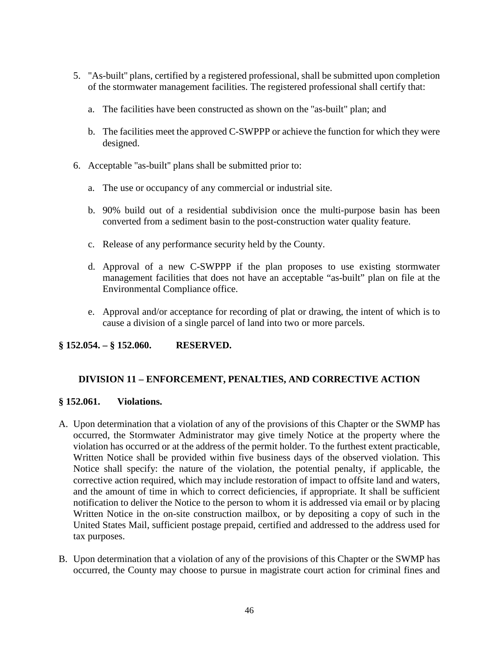- 5. "As-built'' plans, certified by a registered professional, shall be submitted upon completion of the stormwater management facilities. The registered professional shall certify that:
	- a. The facilities have been constructed as shown on the ''as-built" plan; and
	- b. The facilities meet the approved C-SWPPP or achieve the function for which they were designed.
- 6. Acceptable ''as-built'' plans shall be submitted prior to:
	- a. The use or occupancy of any commercial or industrial site.
	- b. 90% build out of a residential subdivision once the multi-purpose basin has been converted from a sediment basin to the post-construction water quality feature.
	- c. Release of any performance security held by the County.
	- d. Approval of a new C-SWPPP if the plan proposes to use existing stormwater management facilities that does not have an acceptable "as-built" plan on file at the Environmental Compliance office.
	- e. Approval and/or acceptance for recording of plat or drawing, the intent of which is to cause a division of a single parcel of land into two or more parcels.

# **§ 152.054. – § 152.060. RESERVED.**

# **DIVISION 11 – ENFORCEMENT, PENALTIES, AND CORRECTIVE ACTION**

#### **§ 152.061. Violations.**

- A. Upon determination that a violation of any of the provisions of this Chapter or the SWMP has occurred, the Stormwater Administrator may give timely Notice at the property where the violation has occurred or at the address of the permit holder. To the furthest extent practicable, Written Notice shall be provided within five business days of the observed violation. This Notice shall specify: the nature of the violation, the potential penalty, if applicable, the corrective action required, which may include restoration of impact to offsite land and waters, and the amount of time in which to correct deficiencies, if appropriate. It shall be sufficient notification to deliver the Notice to the person to whom it is addressed via email or by placing Written Notice in the on-site construction mailbox, or by depositing a copy of such in the United States Mail, sufficient postage prepaid, certified and addressed to the address used for tax purposes.
- B. Upon determination that a violation of any of the provisions of this Chapter or the SWMP has occurred, the County may choose to pursue in magistrate court action for criminal fines and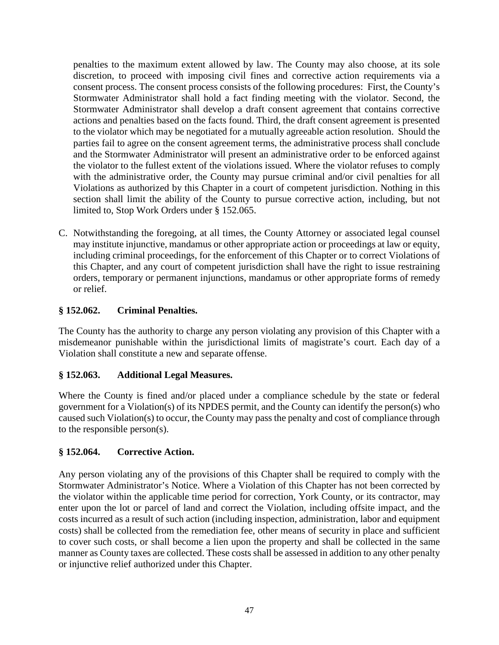penalties to the maximum extent allowed by law. The County may also choose, at its sole discretion, to proceed with imposing civil fines and corrective action requirements via a consent process. The consent process consists of the following procedures: First, the County's Stormwater Administrator shall hold a fact finding meeting with the violator. Second, the Stormwater Administrator shall develop a draft consent agreement that contains corrective actions and penalties based on the facts found. Third, the draft consent agreement is presented to the violator which may be negotiated for a mutually agreeable action resolution. Should the parties fail to agree on the consent agreement terms, the administrative process shall conclude and the Stormwater Administrator will present an administrative order to be enforced against the violator to the fullest extent of the violations issued. Where the violator refuses to comply with the administrative order, the County may pursue criminal and/or civil penalties for all Violations as authorized by this Chapter in a court of competent jurisdiction. Nothing in this section shall limit the ability of the County to pursue corrective action, including, but not limited to, Stop Work Orders under § 152.065.

C. Notwithstanding the foregoing, at all times, the County Attorney or associated legal counsel may institute injunctive, mandamus or other appropriate action or proceedings at law or equity, including criminal proceedings, for the enforcement of this Chapter or to correct Violations of this Chapter, and any court of competent jurisdiction shall have the right to issue restraining orders, temporary or permanent injunctions, mandamus or other appropriate forms of remedy or relief.

# **§ 152.062. Criminal Penalties.**

The County has the authority to charge any person violating any provision of this Chapter with a misdemeanor punishable within the jurisdictional limits of magistrate's court. Each day of a Violation shall constitute a new and separate offense.

# **§ 152.063. Additional Legal Measures.**

Where the County is fined and/or placed under a compliance schedule by the state or federal government for a Violation(s) of its NPDES permit, and the County can identify the person(s) who caused such Violation(s) to occur, the County may pass the penalty and cost of compliance through to the responsible person(s).

# **§ 152.064. Corrective Action.**

Any person violating any of the provisions of this Chapter shall be required to comply with the Stormwater Administrator's Notice. Where a Violation of this Chapter has not been corrected by the violator within the applicable time period for correction, York County, or its contractor, may enter upon the lot or parcel of land and correct the Violation, including offsite impact, and the costs incurred as a result of such action (including inspection, administration, labor and equipment costs) shall be collected from the remediation fee, other means of security in place and sufficient to cover such costs, or shall become a lien upon the property and shall be collected in the same manner as County taxes are collected. These costs shall be assessed in addition to any other penalty or injunctive relief authorized under this Chapter.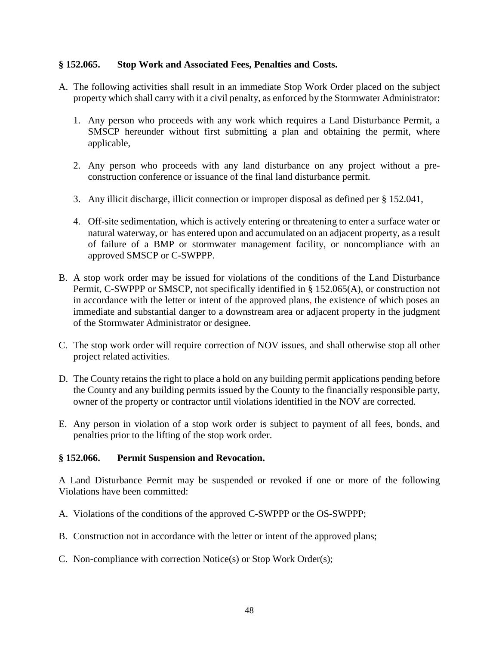### **§ 152.065. Stop Work and Associated Fees, Penalties and Costs.**

- A. The following activities shall result in an immediate Stop Work Order placed on the subject property which shall carry with it a civil penalty, as enforced by the Stormwater Administrator:
	- 1. Any person who proceeds with any work which requires a Land Disturbance Permit, a SMSCP hereunder without first submitting a plan and obtaining the permit, where applicable,
	- 2. Any person who proceeds with any land disturbance on any project without a preconstruction conference or issuance of the final land disturbance permit.
	- 3. Any illicit discharge, illicit connection or improper disposal as defined per § 152.041,
	- 4. Off-site sedimentation, which is actively entering or threatening to enter a surface water or natural waterway, or has entered upon and accumulated on an adjacent property, as a result of failure of a BMP or stormwater management facility, or noncompliance with an approved SMSCP or C-SWPPP.
- B. A stop work order may be issued for violations of the conditions of the Land Disturbance Permit, C-SWPPP or SMSCP, not specifically identified in § 152.065(A), or construction not in accordance with the letter or intent of the approved plans, the existence of which poses an immediate and substantial danger to a downstream area or adjacent property in the judgment of the Stormwater Administrator or designee.
- C. The stop work order will require correction of NOV issues, and shall otherwise stop all other project related activities.
- D. The County retains the right to place a hold on any building permit applications pending before the County and any building permits issued by the County to the financially responsible party, owner of the property or contractor until violations identified in the NOV are corrected.
- E. Any person in violation of a stop work order is subject to payment of all fees, bonds, and penalties prior to the lifting of the stop work order.

#### **§ 152.066. Permit Suspension and Revocation.**

A Land Disturbance Permit may be suspended or revoked if one or more of the following Violations have been committed:

- A. Violations of the conditions of the approved C-SWPPP or the OS-SWPPP;
- B. Construction not in accordance with the letter or intent of the approved plans;
- C. Non-compliance with correction Notice(s) or Stop Work Order(s);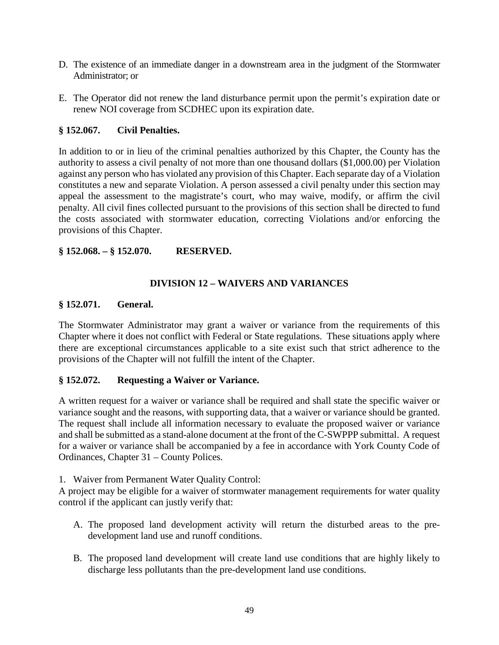- D. The existence of an immediate danger in a downstream area in the judgment of the Stormwater Administrator; or
- E. The Operator did not renew the land disturbance permit upon the permit's expiration date or renew NOI coverage from SCDHEC upon its expiration date.

### **§ 152.067. Civil Penalties.**

In addition to or in lieu of the criminal penalties authorized by this Chapter, the County has the authority to assess a civil penalty of not more than one thousand dollars (\$1,000.00) per Violation against any person who has violated any provision of this Chapter. Each separate day of a Violation constitutes a new and separate Violation. A person assessed a civil penalty under this section may appeal the assessment to the magistrate's court, who may waive, modify, or affirm the civil penalty. All civil fines collected pursuant to the provisions of this section shall be directed to fund the costs associated with stormwater education, correcting Violations and/or enforcing the provisions of this Chapter.

### **§ 152.068. – § 152.070. RESERVED.**

# **DIVISION 12 – WAIVERS AND VARIANCES**

#### **§ 152.071. General.**

The Stormwater Administrator may grant a waiver or variance from the requirements of this Chapter where it does not conflict with Federal or State regulations. These situations apply where there are exceptional circumstances applicable to a site exist such that strict adherence to the provisions of the Chapter will not fulfill the intent of the Chapter.

#### **§ 152.072. Requesting a Waiver or Variance.**

A written request for a waiver or variance shall be required and shall state the specific waiver or variance sought and the reasons, with supporting data, that a waiver or variance should be granted. The request shall include all information necessary to evaluate the proposed waiver or variance and shall be submitted as a stand-alone document at the front of the C-SWPPP submittal. A request for a waiver or variance shall be accompanied by a fee in accordance with York County Code of Ordinances, Chapter 31 – County Polices.

#### 1. Waiver from Permanent Water Quality Control:

A project may be eligible for a waiver of stormwater management requirements for water quality control if the applicant can justly verify that:

- A. The proposed land development activity will return the disturbed areas to the predevelopment land use and runoff conditions.
- B. The proposed land development will create land use conditions that are highly likely to discharge less pollutants than the pre-development land use conditions.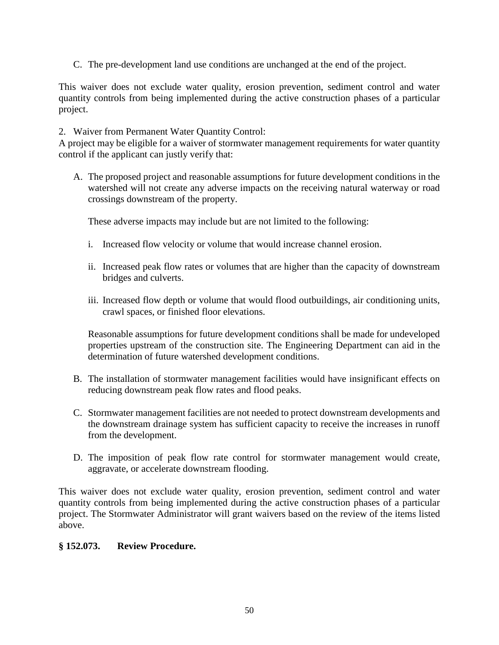C. The pre-development land use conditions are unchanged at the end of the project.

This waiver does not exclude water quality, erosion prevention, sediment control and water quantity controls from being implemented during the active construction phases of a particular project.

#### 2. Waiver from Permanent Water Quantity Control:

A project may be eligible for a waiver of stormwater management requirements for water quantity control if the applicant can justly verify that:

A. The proposed project and reasonable assumptions for future development conditions in the watershed will not create any adverse impacts on the receiving natural waterway or road crossings downstream of the property.

These adverse impacts may include but are not limited to the following:

- i. Increased flow velocity or volume that would increase channel erosion.
- ii. Increased peak flow rates or volumes that are higher than the capacity of downstream bridges and culverts.
- iii. Increased flow depth or volume that would flood outbuildings, air conditioning units, crawl spaces, or finished floor elevations.

Reasonable assumptions for future development conditions shall be made for undeveloped properties upstream of the construction site. The Engineering Department can aid in the determination of future watershed development conditions.

- B. The installation of stormwater management facilities would have insignificant effects on reducing downstream peak flow rates and flood peaks.
- C. Stormwater management facilities are not needed to protect downstream developments and the downstream drainage system has sufficient capacity to receive the increases in runoff from the development.
- D. The imposition of peak flow rate control for stormwater management would create, aggravate, or accelerate downstream flooding.

This waiver does not exclude water quality, erosion prevention, sediment control and water quantity controls from being implemented during the active construction phases of a particular project. The Stormwater Administrator will grant waivers based on the review of the items listed above.

#### **§ 152.073. Review Procedure.**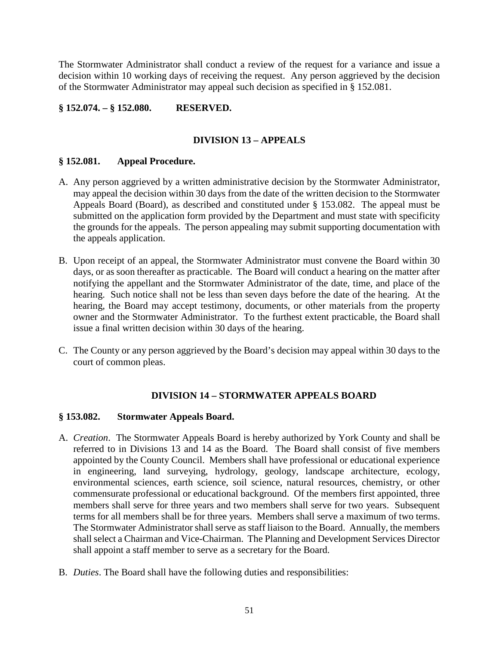The Stormwater Administrator shall conduct a review of the request for a variance and issue a decision within 10 working days of receiving the request. Any person aggrieved by the decision of the Stormwater Administrator may appeal such decision as specified in § 152.081.

# **§ 152.074. – § 152.080. RESERVED.**

# **DIVISION 13 – APPEALS**

### **§ 152.081. Appeal Procedure.**

- A. Any person aggrieved by a written administrative decision by the Stormwater Administrator, may appeal the decision within 30 days from the date of the written decision to the Stormwater Appeals Board (Board), as described and constituted under § 153.082. The appeal must be submitted on the application form provided by the Department and must state with specificity the grounds for the appeals. The person appealing may submit supporting documentation with the appeals application.
- B. Upon receipt of an appeal, the Stormwater Administrator must convene the Board within 30 days, or as soon thereafter as practicable. The Board will conduct a hearing on the matter after notifying the appellant and the Stormwater Administrator of the date, time, and place of the hearing. Such notice shall not be less than seven days before the date of the hearing. At the hearing, the Board may accept testimony, documents, or other materials from the property owner and the Stormwater Administrator. To the furthest extent practicable, the Board shall issue a final written decision within 30 days of the hearing.
- C. The County or any person aggrieved by the Board's decision may appeal within 30 days to the court of common pleas.

# **DIVISION 14 – STORMWATER APPEALS BOARD**

#### **§ 153.082. Stormwater Appeals Board.**

- A. *Creation*. The Stormwater Appeals Board is hereby authorized by York County and shall be referred to in Divisions 13 and 14 as the Board. The Board shall consist of five members appointed by the County Council. Members shall have professional or educational experience in engineering, land surveying, hydrology, geology, landscape architecture, ecology, environmental sciences, earth science, soil science, natural resources, chemistry, or other commensurate professional or educational background. Of the members first appointed, three members shall serve for three years and two members shall serve for two years. Subsequent terms for all members shall be for three years. Members shall serve a maximum of two terms. The Stormwater Administrator shall serve as staff liaison to the Board. Annually, the members shall select a Chairman and Vice-Chairman. The Planning and Development Services Director shall appoint a staff member to serve as a secretary for the Board.
- B. *Duties*. The Board shall have the following duties and responsibilities: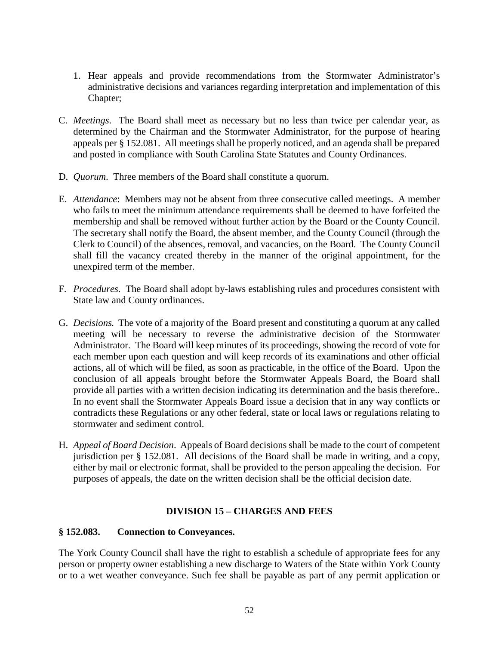- 1. Hear appeals and provide recommendations from the Stormwater Administrator's administrative decisions and variances regarding interpretation and implementation of this Chapter;
- C. *Meetings*. The Board shall meet as necessary but no less than twice per calendar year, as determined by the Chairman and the Stormwater Administrator, for the purpose of hearing appeals per § 152.081. All meetings shall be properly noticed, and an agenda shall be prepared and posted in compliance with South Carolina State Statutes and County Ordinances.
- D. *Quorum*. Three members of the Board shall constitute a quorum.
- E. *Attendance*: Members may not be absent from three consecutive called meetings. A member who fails to meet the minimum attendance requirements shall be deemed to have forfeited the membership and shall be removed without further action by the Board or the County Council. The secretary shall notify the Board, the absent member, and the County Council (through the Clerk to Council) of the absences, removal, and vacancies, on the Board. The County Council shall fill the vacancy created thereby in the manner of the original appointment, for the unexpired term of the member.
- F. *Procedures*. The Board shall adopt by-laws establishing rules and procedures consistent with State law and County ordinances.
- G. *Decisions.* The vote of a majority of the Board present and constituting a quorum at any called meeting will be necessary to reverse the administrative decision of the Stormwater Administrator. The Board will keep minutes of its proceedings, showing the record of vote for each member upon each question and will keep records of its examinations and other official actions, all of which will be filed, as soon as practicable, in the office of the Board. Upon the conclusion of all appeals brought before the Stormwater Appeals Board, the Board shall provide all parties with a written decision indicating its determination and the basis therefore.. In no event shall the Stormwater Appeals Board issue a decision that in any way conflicts or contradicts these Regulations or any other federal, state or local laws or regulations relating to stormwater and sediment control.
- H. *Appeal of Board Decision*. Appeals of Board decisions shall be made to the court of competent jurisdiction per § 152.081. All decisions of the Board shall be made in writing, and a copy, either by mail or electronic format, shall be provided to the person appealing the decision. For purposes of appeals, the date on the written decision shall be the official decision date.

# **DIVISION 15 – CHARGES AND FEES**

# **§ 152.083. Connection to Conveyances.**

The York County Council shall have the right to establish a schedule of appropriate fees for any person or property owner establishing a new discharge to Waters of the State within York County or to a wet weather conveyance. Such fee shall be payable as part of any permit application or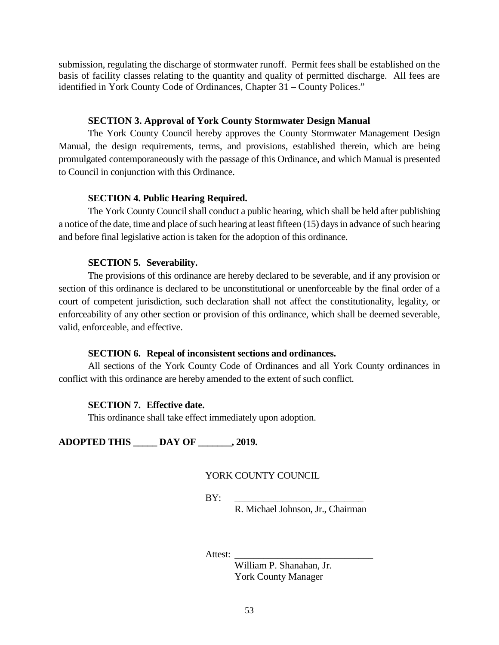submission, regulating the discharge of stormwater runoff. Permit fees shall be established on the basis of facility classes relating to the quantity and quality of permitted discharge. All fees are identified in York County Code of Ordinances, Chapter 31 – County Polices."

#### **SECTION 3. Approval of York County Stormwater Design Manual**

The York County Council hereby approves the County Stormwater Management Design Manual, the design requirements, terms, and provisions, established therein, which are being promulgated contemporaneously with the passage of this Ordinance, and which Manual is presented to Council in conjunction with this Ordinance.

#### **SECTION 4. Public Hearing Required.**

The York County Council shall conduct a public hearing, which shall be held after publishing a notice of the date, time and place of such hearing at least fifteen (15) days in advance of such hearing and before final legislative action is taken for the adoption of this ordinance.

#### **SECTION 5. Severability.**

The provisions of this ordinance are hereby declared to be severable, and if any provision or section of this ordinance is declared to be unconstitutional or unenforceable by the final order of a court of competent jurisdiction, such declaration shall not affect the constitutionality, legality, or enforceability of any other section or provision of this ordinance, which shall be deemed severable, valid, enforceable, and effective.

#### **SECTION 6. Repeal of inconsistent sections and ordinances.**

All sections of the York County Code of Ordinances and all York County ordinances in conflict with this ordinance are hereby amended to the extent of such conflict.

#### **SECTION 7. Effective date.**

This ordinance shall take effect immediately upon adoption.

**ADOPTED THIS \_\_\_\_\_ DAY OF \_\_\_\_\_\_\_, 2019.**

YORK COUNTY COUNCIL

BY: \_\_\_\_\_\_\_\_\_\_\_\_\_\_\_\_\_\_\_\_\_\_\_\_\_\_\_

R. Michael Johnson, Jr., Chairman

Attest:

William P. Shanahan, Jr. York County Manager